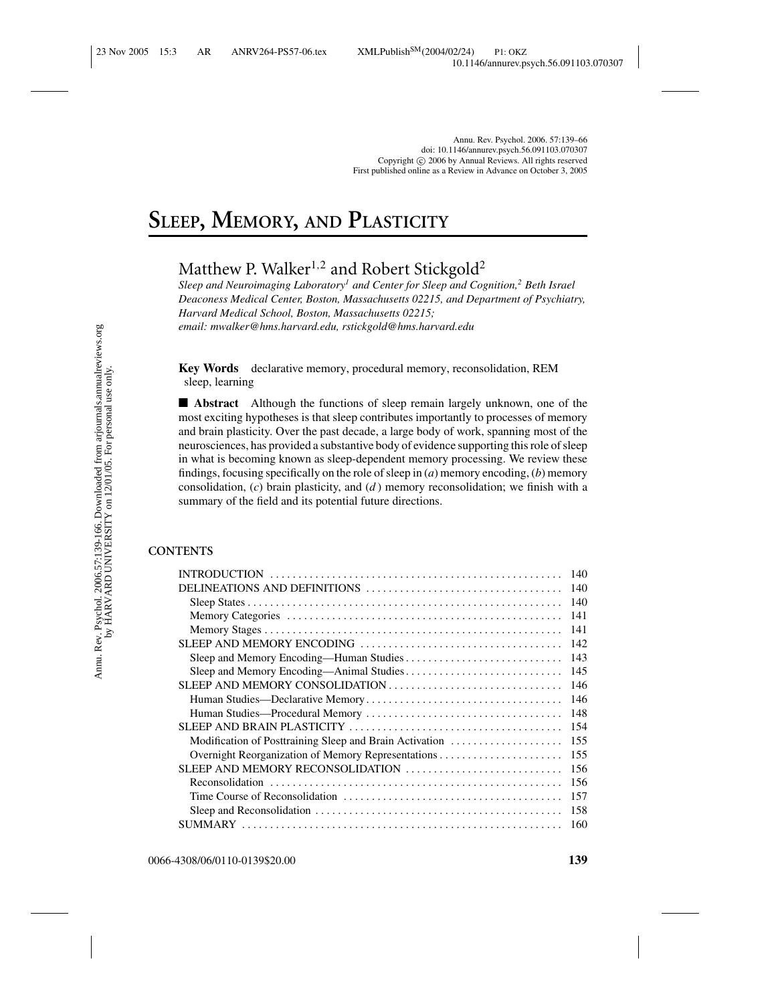## **SLEEP, MEMORY, AND PLASTICITY**

Matthew P. Walker<sup>1,2</sup> and Robert Stickgold<sup>2</sup>

*Sleep and Neuroimaging Laboratory<sup>1</sup> and Center for Sleep and Cognition,2 Beth Israel Deaconess Medical Center, Boston, Massachusetts 02215, and Department of Psychiatry, Harvard Medical School, Boston, Massachusetts 02215; email: mwalker@hms.harvard.edu, rstickgold@hms.harvard.edu*

**Key Words** declarative memory, procedural memory, reconsolidation, REM sleep, learning

■ **Abstract** Although the functions of sleep remain largely unknown, one of the most exciting hypotheses is that sleep contributes importantly to processes of memory and brain plasticity. Over the past decade, a large body of work, spanning most of the neurosciences, has provided a substantive body of evidence supporting this role of sleep in what is becoming known as sleep-dependent memory processing. We review these findings, focusing specifically on the role of sleep in (*a*) memory encoding, (*b*) memory consolidation, (*c*) brain plasticity, and (*d* ) memory reconsolidation; we finish with a summary of the field and its potential future directions.

## **CONTENTS**

|                                                         | 140 |
|---------------------------------------------------------|-----|
|                                                         | 140 |
|                                                         | 140 |
|                                                         | 141 |
|                                                         | 141 |
|                                                         | 142 |
|                                                         | 143 |
|                                                         | 145 |
|                                                         | 146 |
|                                                         | 146 |
|                                                         | 148 |
|                                                         | 154 |
| Modification of Posttraining Sleep and Brain Activation | 155 |
|                                                         | 155 |
| SLEEP AND MEMORY RECONSOLIDATION                        | 156 |
|                                                         | 156 |
|                                                         | 157 |
|                                                         | 158 |
|                                                         | 160 |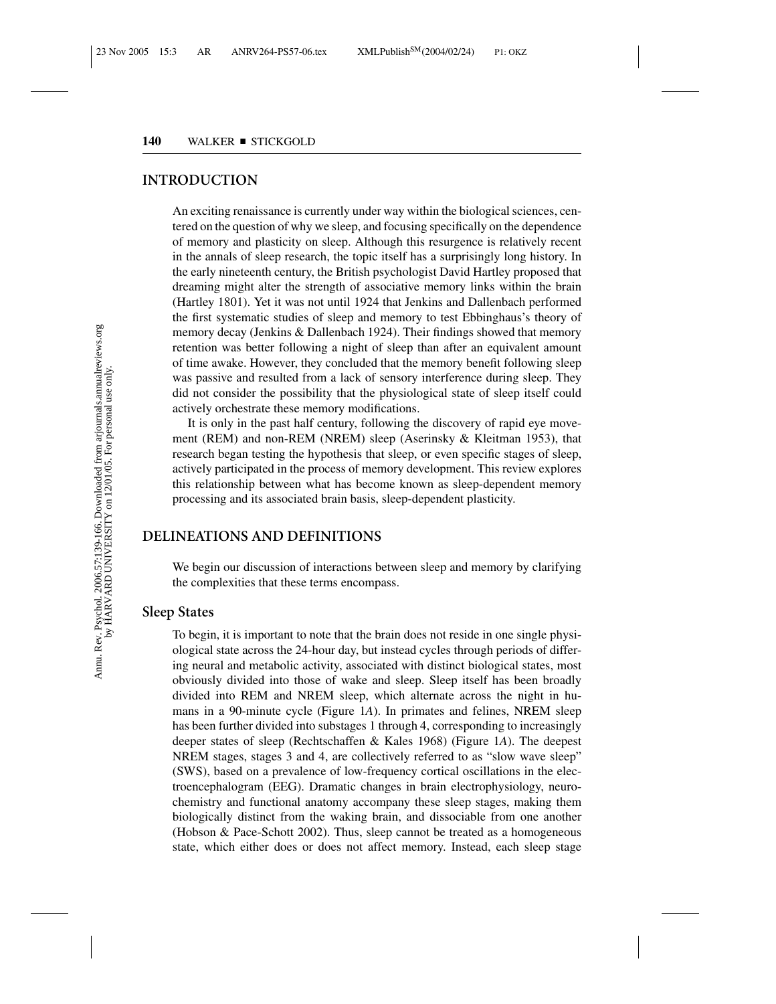## **INTRODUCTION**

An exciting renaissance is currently under way within the biological sciences, centered on the question of why we sleep, and focusing specifically on the dependence of memory and plasticity on sleep. Although this resurgence is relatively recent in the annals of sleep research, the topic itself has a surprisingly long history. In the early nineteenth century, the British psychologist David Hartley proposed that dreaming might alter the strength of associative memory links within the brain (Hartley 1801). Yet it was not until 1924 that Jenkins and Dallenbach performed the first systematic studies of sleep and memory to test Ebbinghaus's theory of memory decay (Jenkins & Dallenbach 1924). Their findings showed that memory retention was better following a night of sleep than after an equivalent amount of time awake. However, they concluded that the memory benefit following sleep was passive and resulted from a lack of sensory interference during sleep. They did not consider the possibility that the physiological state of sleep itself could actively orchestrate these memory modifications.

It is only in the past half century, following the discovery of rapid eye movement (REM) and non-REM (NREM) sleep (Aserinsky & Kleitman 1953), that research began testing the hypothesis that sleep, or even specific stages of sleep, actively participated in the process of memory development. This review explores this relationship between what has become known as sleep-dependent memory processing and its associated brain basis, sleep-dependent plasticity.

## **DELINEATIONS AND DEFINITIONS**

We begin our discussion of interactions between sleep and memory by clarifying the complexities that these terms encompass.

#### **Sleep States**

To begin, it is important to note that the brain does not reside in one single physiological state across the 24-hour day, but instead cycles through periods of differing neural and metabolic activity, associated with distinct biological states, most obviously divided into those of wake and sleep. Sleep itself has been broadly divided into REM and NREM sleep, which alternate across the night in humans in a 90-minute cycle (Figure 1*A*). In primates and felines, NREM sleep has been further divided into substages 1 through 4, corresponding to increasingly deeper states of sleep (Rechtschaffen & Kales 1968) (Figure 1*A*). The deepest NREM stages, stages 3 and 4, are collectively referred to as "slow wave sleep" (SWS), based on a prevalence of low-frequency cortical oscillations in the electroencephalogram (EEG). Dramatic changes in brain electrophysiology, neurochemistry and functional anatomy accompany these sleep stages, making them biologically distinct from the waking brain, and dissociable from one another (Hobson & Pace-Schott 2002). Thus, sleep cannot be treated as a homogeneous state, which either does or does not affect memory. Instead, each sleep stage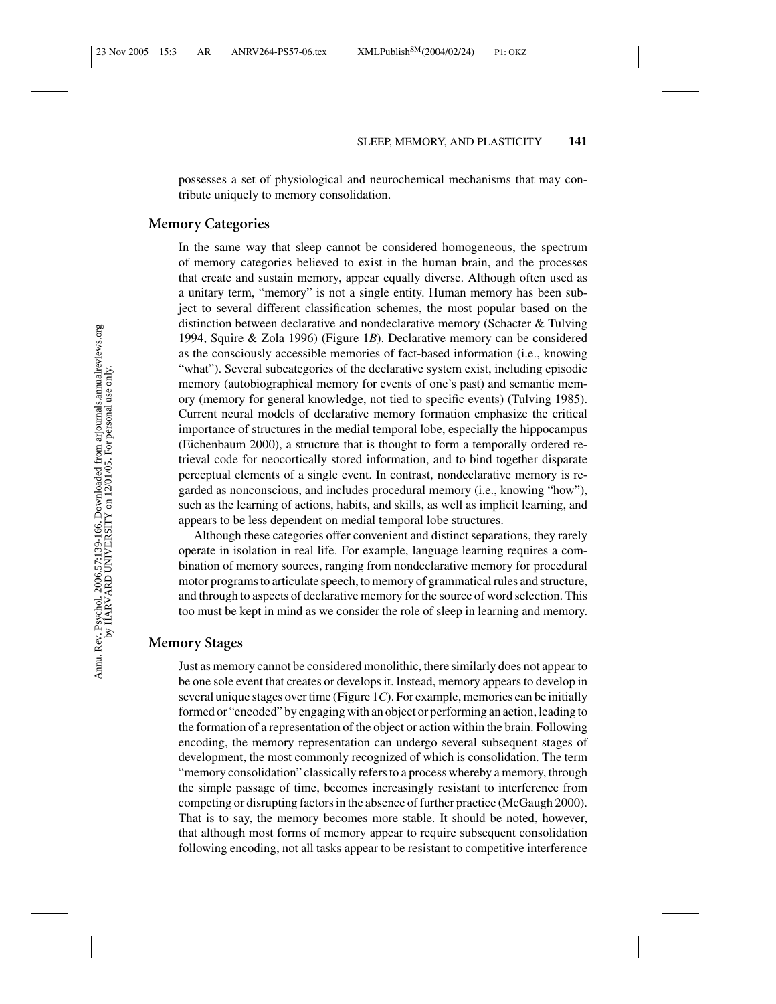possesses a set of physiological and neurochemical mechanisms that may contribute uniquely to memory consolidation.

#### **Memory Categories**

In the same way that sleep cannot be considered homogeneous, the spectrum of memory categories believed to exist in the human brain, and the processes that create and sustain memory, appear equally diverse. Although often used as a unitary term, "memory" is not a single entity. Human memory has been subject to several different classification schemes, the most popular based on the distinction between declarative and nondeclarative memory (Schacter & Tulving 1994, Squire & Zola 1996) (Figure 1*B*). Declarative memory can be considered as the consciously accessible memories of fact-based information (i.e., knowing "what"). Several subcategories of the declarative system exist, including episodic memory (autobiographical memory for events of one's past) and semantic memory (memory for general knowledge, not tied to specific events) (Tulving 1985). Current neural models of declarative memory formation emphasize the critical importance of structures in the medial temporal lobe, especially the hippocampus (Eichenbaum 2000), a structure that is thought to form a temporally ordered retrieval code for neocortically stored information, and to bind together disparate perceptual elements of a single event. In contrast, nondeclarative memory is regarded as nonconscious, and includes procedural memory (i.e., knowing "how"), such as the learning of actions, habits, and skills, as well as implicit learning, and appears to be less dependent on medial temporal lobe structures.

Although these categories offer convenient and distinct separations, they rarely operate in isolation in real life. For example, language learning requires a combination of memory sources, ranging from nondeclarative memory for procedural motor programs to articulate speech, to memory of grammatical rules and structure, and through to aspects of declarative memory for the source of word selection. This too must be kept in mind as we consider the role of sleep in learning and memory.

#### **Memory Stages**

Just as memory cannot be considered monolithic, there similarly does not appear to be one sole event that creates or develops it. Instead, memory appears to develop in several unique stages over time (Figure 1*C*). For example, memories can be initially formed or "encoded" by engaging with an object or performing an action, leading to the formation of a representation of the object or action within the brain. Following encoding, the memory representation can undergo several subsequent stages of development, the most commonly recognized of which is consolidation. The term "memory consolidation" classically refers to a process whereby a memory, through the simple passage of time, becomes increasingly resistant to interference from competing or disrupting factors in the absence of further practice (McGaugh 2000). That is to say, the memory becomes more stable. It should be noted, however, that although most forms of memory appear to require subsequent consolidation following encoding, not all tasks appear to be resistant to competitive interference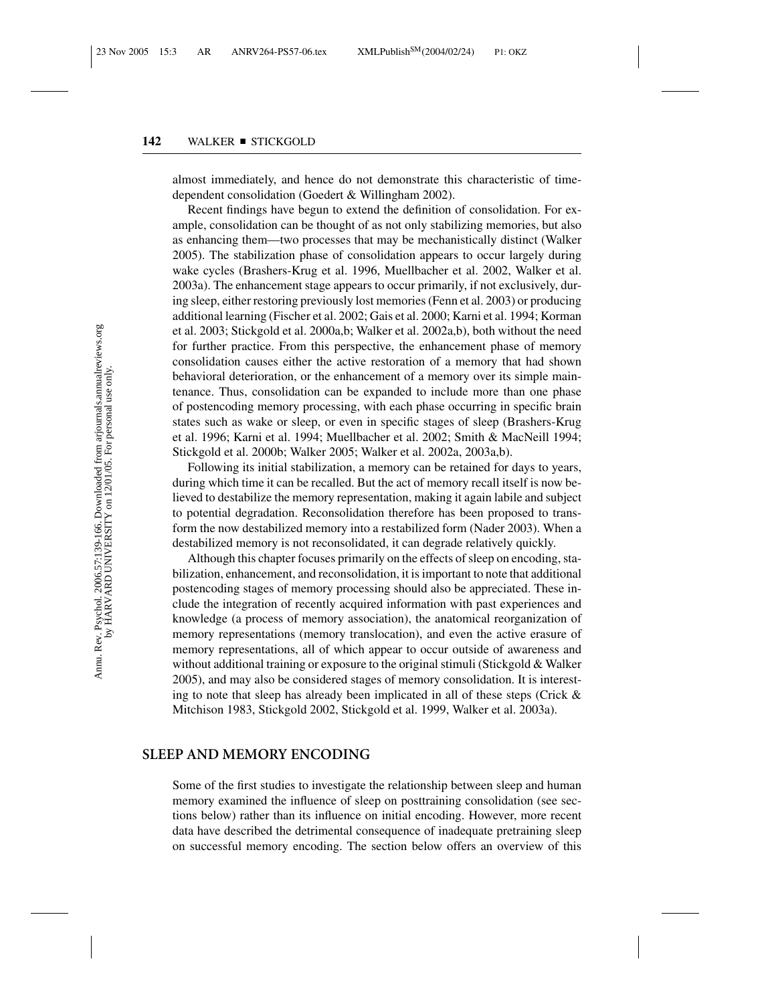almost immediately, and hence do not demonstrate this characteristic of timedependent consolidation (Goedert & Willingham 2002).

Recent findings have begun to extend the definition of consolidation. For example, consolidation can be thought of as not only stabilizing memories, but also as enhancing them—two processes that may be mechanistically distinct (Walker 2005). The stabilization phase of consolidation appears to occur largely during wake cycles (Brashers-Krug et al. 1996, Muellbacher et al. 2002, Walker et al. 2003a). The enhancement stage appears to occur primarily, if not exclusively, during sleep, either restoring previously lost memories (Fenn et al. 2003) or producing additional learning (Fischer et al. 2002; Gais et al. 2000; Karni et al. 1994; Korman et al. 2003; Stickgold et al. 2000a,b; Walker et al. 2002a,b), both without the need for further practice. From this perspective, the enhancement phase of memory consolidation causes either the active restoration of a memory that had shown behavioral deterioration, or the enhancement of a memory over its simple maintenance. Thus, consolidation can be expanded to include more than one phase of postencoding memory processing, with each phase occurring in specific brain states such as wake or sleep, or even in specific stages of sleep (Brashers-Krug et al. 1996; Karni et al. 1994; Muellbacher et al. 2002; Smith & MacNeill 1994; Stickgold et al. 2000b; Walker 2005; Walker et al. 2002a, 2003a,b).

Following its initial stabilization, a memory can be retained for days to years, during which time it can be recalled. But the act of memory recall itself is now believed to destabilize the memory representation, making it again labile and subject to potential degradation. Reconsolidation therefore has been proposed to transform the now destabilized memory into a restabilized form (Nader 2003). When a destabilized memory is not reconsolidated, it can degrade relatively quickly.

Although this chapter focuses primarily on the effects of sleep on encoding, stabilization, enhancement, and reconsolidation, it is important to note that additional postencoding stages of memory processing should also be appreciated. These include the integration of recently acquired information with past experiences and knowledge (a process of memory association), the anatomical reorganization of memory representations (memory translocation), and even the active erasure of memory representations, all of which appear to occur outside of awareness and without additional training or exposure to the original stimuli (Stickgold & Walker 2005), and may also be considered stages of memory consolidation. It is interesting to note that sleep has already been implicated in all of these steps (Crick  $\&$ Mitchison 1983, Stickgold 2002, Stickgold et al. 1999, Walker et al. 2003a).

## **SLEEP AND MEMORY ENCODING**

Some of the first studies to investigate the relationship between sleep and human memory examined the influence of sleep on posttraining consolidation (see sections below) rather than its influence on initial encoding. However, more recent data have described the detrimental consequence of inadequate pretraining sleep on successful memory encoding. The section below offers an overview of this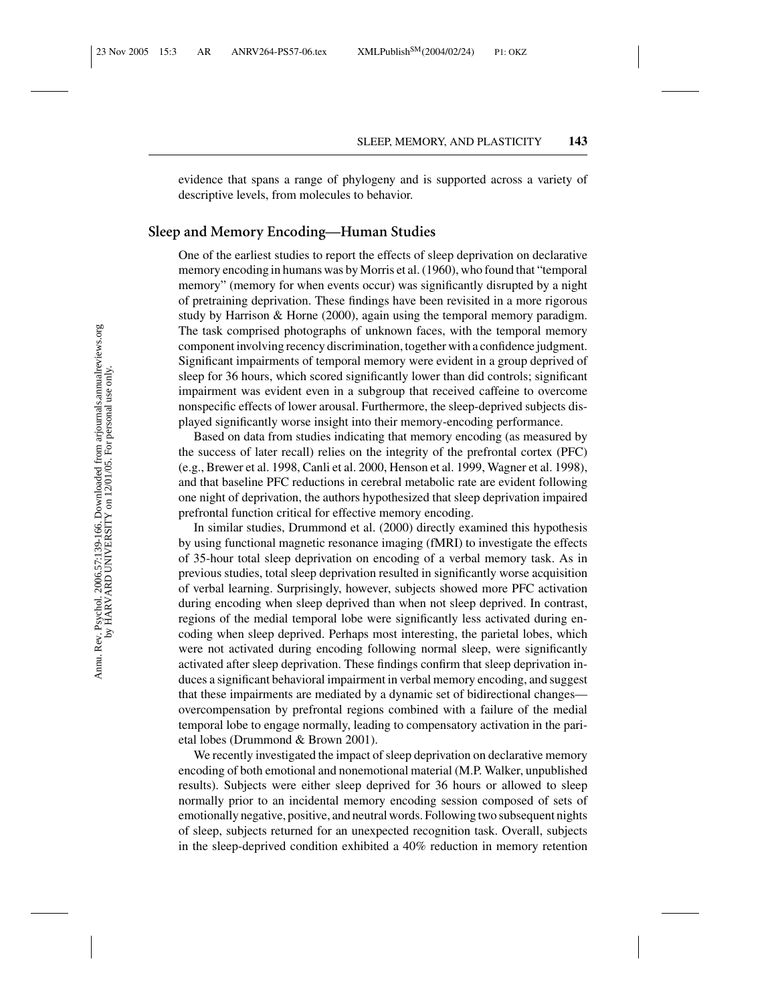evidence that spans a range of phylogeny and is supported across a variety of descriptive levels, from molecules to behavior.

## **Sleep and Memory Encoding—Human Studies**

One of the earliest studies to report the effects of sleep deprivation on declarative memory encoding in humans was by Morris et al. (1960), who found that "temporal memory" (memory for when events occur) was significantly disrupted by a night of pretraining deprivation. These findings have been revisited in a more rigorous study by Harrison & Horne (2000), again using the temporal memory paradigm. The task comprised photographs of unknown faces, with the temporal memory component involving recency discrimination, together with a confidence judgment. Significant impairments of temporal memory were evident in a group deprived of sleep for 36 hours, which scored significantly lower than did controls; significant impairment was evident even in a subgroup that received caffeine to overcome nonspecific effects of lower arousal. Furthermore, the sleep-deprived subjects displayed significantly worse insight into their memory-encoding performance.

Based on data from studies indicating that memory encoding (as measured by the success of later recall) relies on the integrity of the prefrontal cortex (PFC) (e.g., Brewer et al. 1998, Canli et al. 2000, Henson et al. 1999, Wagner et al. 1998), and that baseline PFC reductions in cerebral metabolic rate are evident following one night of deprivation, the authors hypothesized that sleep deprivation impaired prefrontal function critical for effective memory encoding.

In similar studies, Drummond et al. (2000) directly examined this hypothesis by using functional magnetic resonance imaging (fMRI) to investigate the effects of 35-hour total sleep deprivation on encoding of a verbal memory task. As in previous studies, total sleep deprivation resulted in significantly worse acquisition of verbal learning. Surprisingly, however, subjects showed more PFC activation during encoding when sleep deprived than when not sleep deprived. In contrast, regions of the medial temporal lobe were significantly less activated during encoding when sleep deprived. Perhaps most interesting, the parietal lobes, which were not activated during encoding following normal sleep, were significantly activated after sleep deprivation. These findings confirm that sleep deprivation induces a significant behavioral impairment in verbal memory encoding, and suggest that these impairments are mediated by a dynamic set of bidirectional changes overcompensation by prefrontal regions combined with a failure of the medial temporal lobe to engage normally, leading to compensatory activation in the parietal lobes (Drummond & Brown 2001).

We recently investigated the impact of sleep deprivation on declarative memory encoding of both emotional and nonemotional material (M.P. Walker, unpublished results). Subjects were either sleep deprived for 36 hours or allowed to sleep normally prior to an incidental memory encoding session composed of sets of emotionally negative, positive, and neutral words. Following two subsequent nights of sleep, subjects returned for an unexpected recognition task. Overall, subjects in the sleep-deprived condition exhibited a 40% reduction in memory retention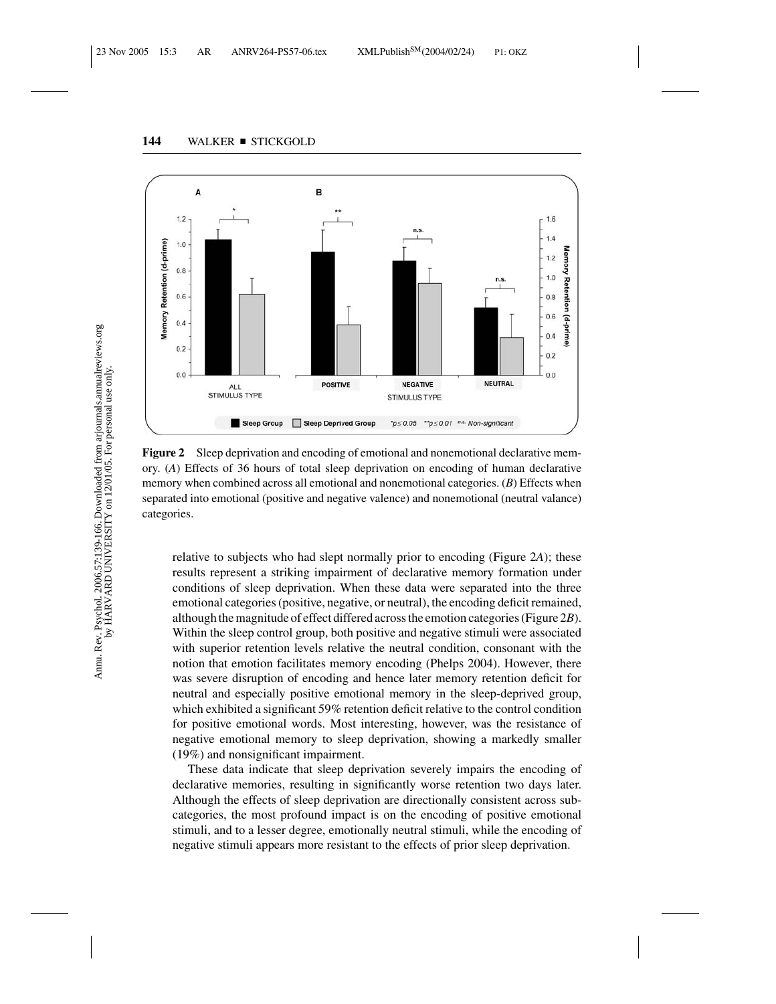

**Figure 2** Sleep deprivation and encoding of emotional and nonemotional declarative memory. (*A*) Effects of 36 hours of total sleep deprivation on encoding of human declarative memory when combined across all emotional and nonemotional categories. (*B*) Effects when separated into emotional (positive and negative valence) and nonemotional (neutral valance) categories.

relative to subjects who had slept normally prior to encoding (Figure 2*A*); these results represent a striking impairment of declarative memory formation under conditions of sleep deprivation. When these data were separated into the three emotional categories (positive, negative, or neutral), the encoding deficit remained, although the magnitude of effect differed across the emotion categories (Figure 2*B*). Within the sleep control group, both positive and negative stimuli were associated with superior retention levels relative the neutral condition, consonant with the notion that emotion facilitates memory encoding (Phelps 2004). However, there was severe disruption of encoding and hence later memory retention deficit for neutral and especially positive emotional memory in the sleep-deprived group, which exhibited a significant 59% retention deficit relative to the control condition for positive emotional words. Most interesting, however, was the resistance of negative emotional memory to sleep deprivation, showing a markedly smaller (19%) and nonsignificant impairment.

These data indicate that sleep deprivation severely impairs the encoding of declarative memories, resulting in significantly worse retention two days later. Although the effects of sleep deprivation are directionally consistent across subcategories, the most profound impact is on the encoding of positive emotional stimuli, and to a lesser degree, emotionally neutral stimuli, while the encoding of negative stimuli appears more resistant to the effects of prior sleep deprivation.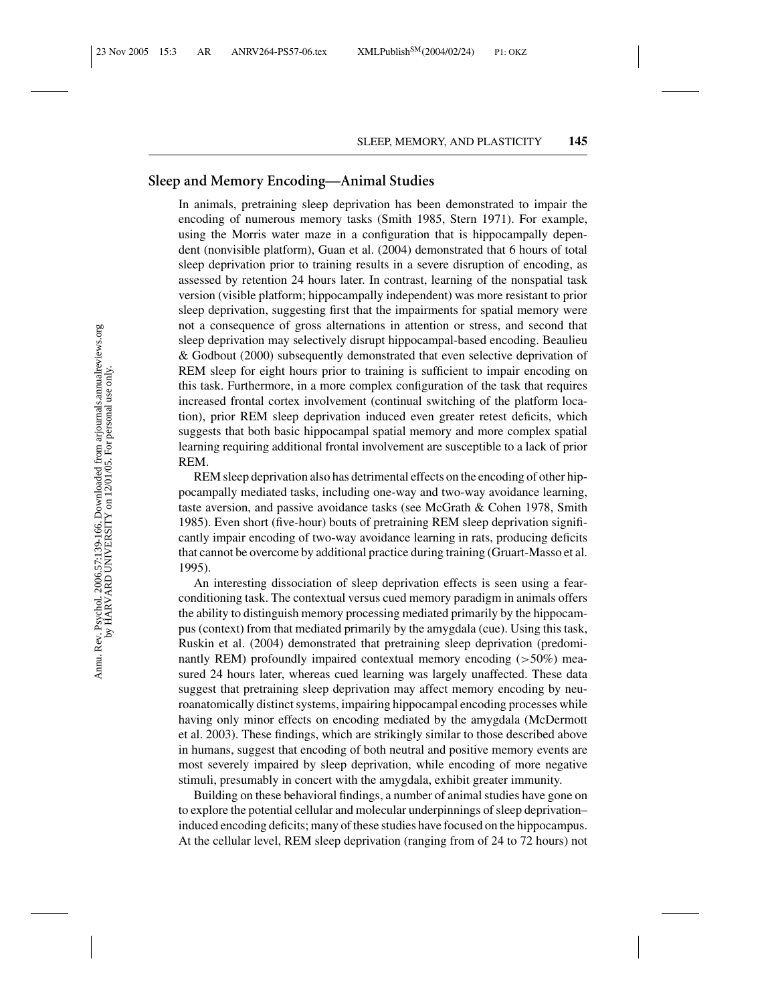## **Sleep and Memory Encoding—Animal Studies**

In animals, pretraining sleep deprivation has been demonstrated to impair the encoding of numerous memory tasks (Smith 1985, Stern 1971). For example, using the Morris water maze in a configuration that is hippocampally dependent (nonvisible platform), Guan et al. (2004) demonstrated that 6 hours of total sleep deprivation prior to training results in a severe disruption of encoding, as assessed by retention 24 hours later. In contrast, learning of the nonspatial task version (visible platform; hippocampally independent) was more resistant to prior sleep deprivation, suggesting first that the impairments for spatial memory were not a consequence of gross alternations in attention or stress, and second that sleep deprivation may selectively disrupt hippocampal-based encoding. Beaulieu & Godbout (2000) subsequently demonstrated that even selective deprivation of REM sleep for eight hours prior to training is sufficient to impair encoding on this task. Furthermore, in a more complex configuration of the task that requires increased frontal cortex involvement (continual switching of the platform location), prior REM sleep deprivation induced even greater retest deficits, which suggests that both basic hippocampal spatial memory and more complex spatial learning requiring additional frontal involvement are susceptible to a lack of prior REM.

REM sleep deprivation also has detrimental effects on the encoding of other hippocampally mediated tasks, including one-way and two-way avoidance learning, taste aversion, and passive avoidance tasks (see McGrath & Cohen 1978, Smith 1985). Even short (five-hour) bouts of pretraining REM sleep deprivation significantly impair encoding of two-way avoidance learning in rats, producing deficits that cannot be overcome by additional practice during training (Gruart-Masso et al. 1995).

An interesting dissociation of sleep deprivation effects is seen using a fearconditioning task. The contextual versus cued memory paradigm in animals offers the ability to distinguish memory processing mediated primarily by the hippocampus (context) from that mediated primarily by the amygdala (cue). Using this task, Ruskin et al. (2004) demonstrated that pretraining sleep deprivation (predominantly REM) profoundly impaired contextual memory encoding  $(50\%)$  measured 24 hours later, whereas cued learning was largely unaffected. These data suggest that pretraining sleep deprivation may affect memory encoding by neuroanatomically distinct systems, impairing hippocampal encoding processes while having only minor effects on encoding mediated by the amygdala (McDermott et al. 2003). These findings, which are strikingly similar to those described above in humans, suggest that encoding of both neutral and positive memory events are most severely impaired by sleep deprivation, while encoding of more negative stimuli, presumably in concert with the amygdala, exhibit greater immunity.

Building on these behavioral findings, a number of animal studies have gone on to explore the potential cellular and molecular underpinnings of sleep deprivation– induced encoding deficits; many of these studies have focused on the hippocampus. At the cellular level, REM sleep deprivation (ranging from of 24 to 72 hours) not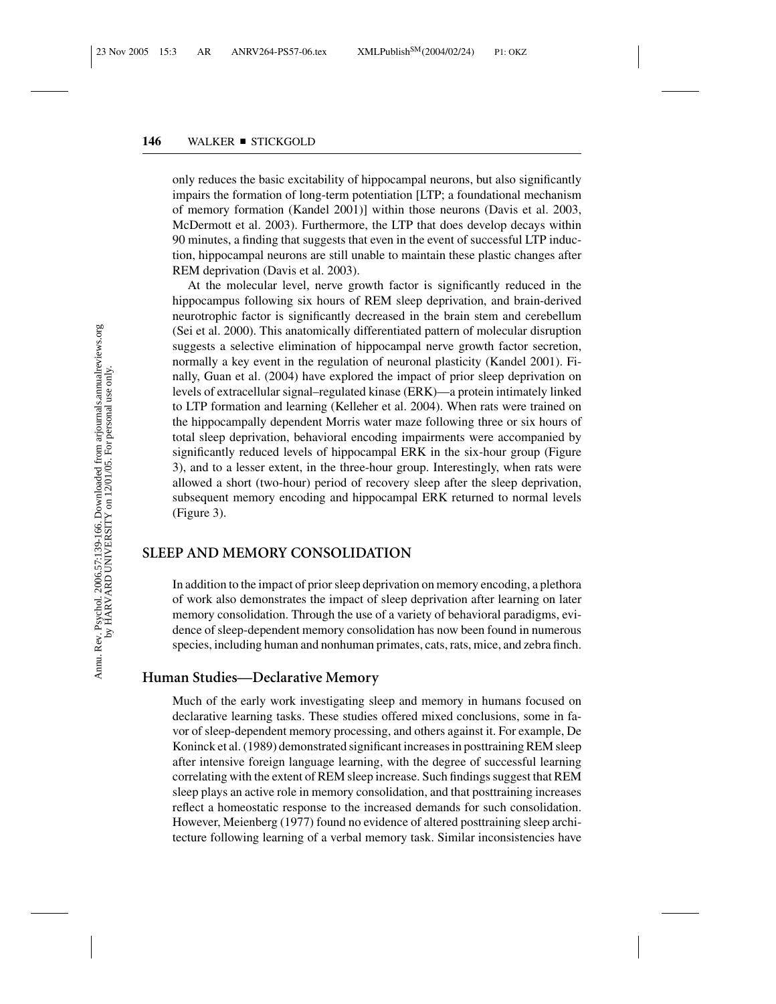only reduces the basic excitability of hippocampal neurons, but also significantly impairs the formation of long-term potentiation [LTP; a foundational mechanism of memory formation (Kandel 2001)] within those neurons (Davis et al. 2003, McDermott et al. 2003). Furthermore, the LTP that does develop decays within 90 minutes, a finding that suggests that even in the event of successful LTP induction, hippocampal neurons are still unable to maintain these plastic changes after REM deprivation (Davis et al. 2003).

At the molecular level, nerve growth factor is significantly reduced in the hippocampus following six hours of REM sleep deprivation, and brain-derived neurotrophic factor is significantly decreased in the brain stem and cerebellum (Sei et al. 2000). This anatomically differentiated pattern of molecular disruption suggests a selective elimination of hippocampal nerve growth factor secretion, normally a key event in the regulation of neuronal plasticity (Kandel 2001). Finally, Guan et al. (2004) have explored the impact of prior sleep deprivation on levels of extracellular signal–regulated kinase (ERK)—a protein intimately linked to LTP formation and learning (Kelleher et al. 2004). When rats were trained on the hippocampally dependent Morris water maze following three or six hours of total sleep deprivation, behavioral encoding impairments were accompanied by significantly reduced levels of hippocampal ERK in the six-hour group (Figure 3), and to a lesser extent, in the three-hour group. Interestingly, when rats were allowed a short (two-hour) period of recovery sleep after the sleep deprivation, subsequent memory encoding and hippocampal ERK returned to normal levels (Figure 3).

## **SLEEP AND MEMORY CONSOLIDATION**

In addition to the impact of prior sleep deprivation on memory encoding, a plethora of work also demonstrates the impact of sleep deprivation after learning on later memory consolidation. Through the use of a variety of behavioral paradigms, evidence of sleep-dependent memory consolidation has now been found in numerous species, including human and nonhuman primates, cats, rats, mice, and zebra finch.

## **Human Studies—Declarative Memory**

Much of the early work investigating sleep and memory in humans focused on declarative learning tasks. These studies offered mixed conclusions, some in favor of sleep-dependent memory processing, and others against it. For example, De Koninck et al. (1989) demonstrated significant increases in posttraining REM sleep after intensive foreign language learning, with the degree of successful learning correlating with the extent of REM sleep increase. Such findings suggest that REM sleep plays an active role in memory consolidation, and that posttraining increases reflect a homeostatic response to the increased demands for such consolidation. However, Meienberg (1977) found no evidence of altered posttraining sleep architecture following learning of a verbal memory task. Similar inconsistencies have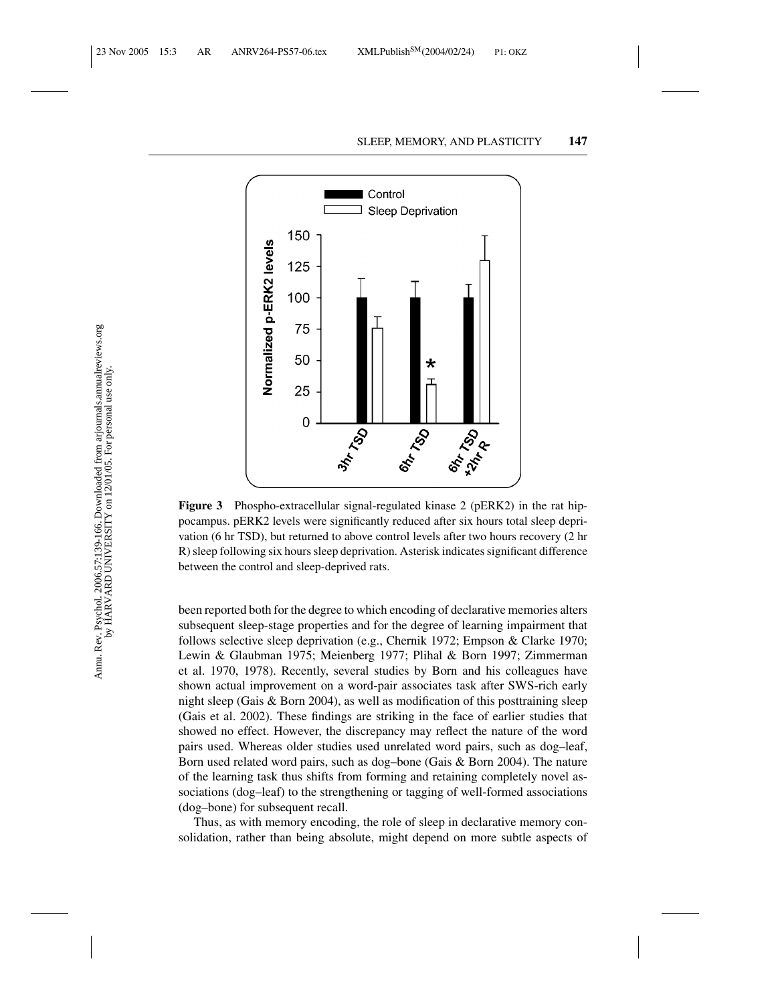

**Figure 3** Phospho-extracellular signal-regulated kinase 2 (pERK2) in the rat hippocampus. pERK2 levels were significantly reduced after six hours total sleep deprivation (6 hr TSD), but returned to above control levels after two hours recovery (2 hr R) sleep following six hours sleep deprivation. Asterisk indicates significant difference between the control and sleep-deprived rats.

been reported both for the degree to which encoding of declarative memories alters subsequent sleep-stage properties and for the degree of learning impairment that follows selective sleep deprivation (e.g., Chernik 1972; Empson & Clarke 1970; Lewin & Glaubman 1975; Meienberg 1977; Plihal & Born 1997; Zimmerman et al. 1970, 1978). Recently, several studies by Born and his colleagues have shown actual improvement on a word-pair associates task after SWS-rich early night sleep (Gais & Born 2004), as well as modification of this posttraining sleep (Gais et al. 2002). These findings are striking in the face of earlier studies that showed no effect. However, the discrepancy may reflect the nature of the word pairs used. Whereas older studies used unrelated word pairs, such as dog–leaf, Born used related word pairs, such as dog–bone (Gais & Born 2004). The nature of the learning task thus shifts from forming and retaining completely novel associations (dog–leaf) to the strengthening or tagging of well-formed associations (dog–bone) for subsequent recall.

Thus, as with memory encoding, the role of sleep in declarative memory consolidation, rather than being absolute, might depend on more subtle aspects of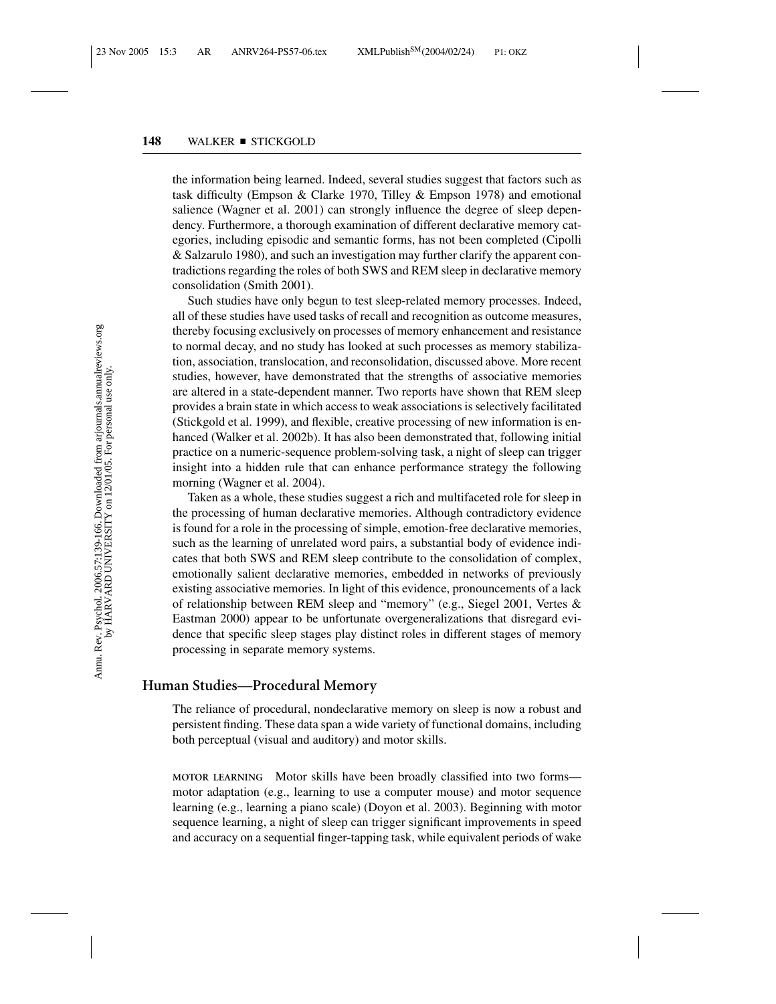the information being learned. Indeed, several studies suggest that factors such as task difficulty (Empson & Clarke 1970, Tilley & Empson 1978) and emotional salience (Wagner et al. 2001) can strongly influence the degree of sleep dependency. Furthermore, a thorough examination of different declarative memory categories, including episodic and semantic forms, has not been completed (Cipolli & Salzarulo 1980), and such an investigation may further clarify the apparent contradictions regarding the roles of both SWS and REM sleep in declarative memory consolidation (Smith 2001).

Such studies have only begun to test sleep-related memory processes. Indeed, all of these studies have used tasks of recall and recognition as outcome measures, thereby focusing exclusively on processes of memory enhancement and resistance to normal decay, and no study has looked at such processes as memory stabilization, association, translocation, and reconsolidation, discussed above. More recent studies, however, have demonstrated that the strengths of associative memories are altered in a state-dependent manner. Two reports have shown that REM sleep provides a brain state in which access to weak associations is selectively facilitated (Stickgold et al. 1999), and flexible, creative processing of new information is enhanced (Walker et al. 2002b). It has also been demonstrated that, following initial practice on a numeric-sequence problem-solving task, a night of sleep can trigger insight into a hidden rule that can enhance performance strategy the following morning (Wagner et al. 2004).

Taken as a whole, these studies suggest a rich and multifaceted role for sleep in the processing of human declarative memories. Although contradictory evidence is found for a role in the processing of simple, emotion-free declarative memories, such as the learning of unrelated word pairs, a substantial body of evidence indicates that both SWS and REM sleep contribute to the consolidation of complex, emotionally salient declarative memories, embedded in networks of previously existing associative memories. In light of this evidence, pronouncements of a lack of relationship between REM sleep and "memory" (e.g., Siegel 2001, Vertes & Eastman 2000) appear to be unfortunate overgeneralizations that disregard evidence that specific sleep stages play distinct roles in different stages of memory processing in separate memory systems.

## **Human Studies—Procedural Memory**

The reliance of procedural, nondeclarative memory on sleep is now a robust and persistent finding. These data span a wide variety of functional domains, including both perceptual (visual and auditory) and motor skills.

**MOTOR LEARNING** Motor skills have been broadly classified into two forms motor adaptation (e.g., learning to use a computer mouse) and motor sequence learning (e.g., learning a piano scale) (Doyon et al. 2003). Beginning with motor sequence learning, a night of sleep can trigger significant improvements in speed and accuracy on a sequential finger-tapping task, while equivalent periods of wake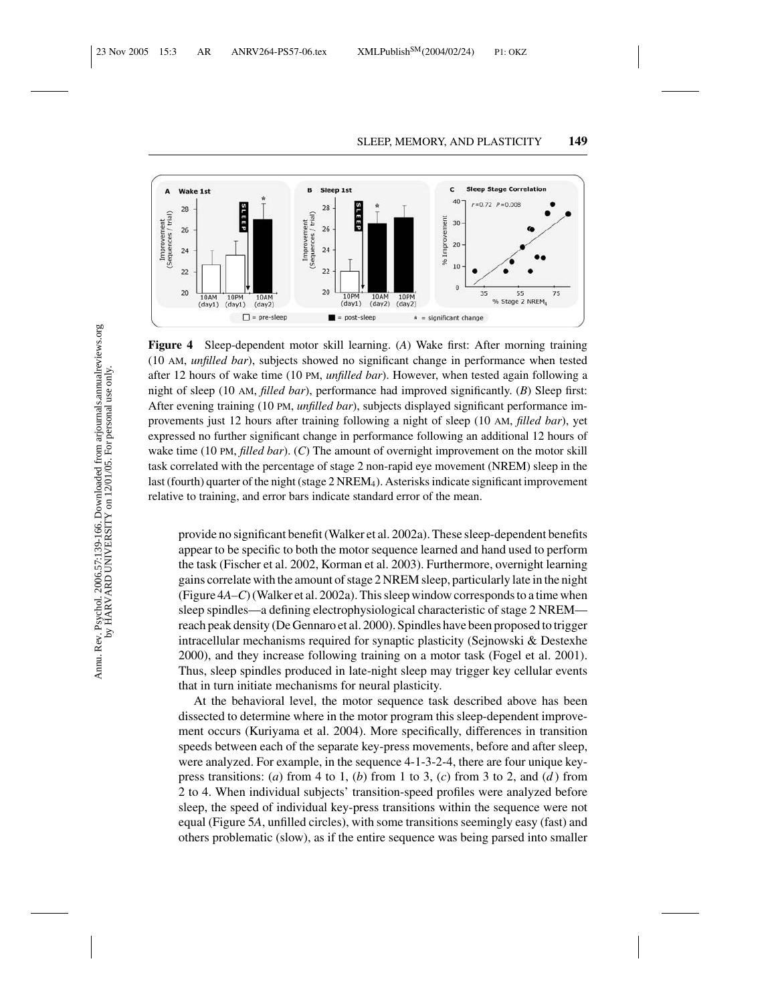

**Figure 4** Sleep-dependent motor skill learning. (*A*) Wake first: After morning training (10 AM, *unfilled bar*), subjects showed no significant change in performance when tested after 12 hours of wake time (10 PM, *unfilled bar*). However, when tested again following a night of sleep (10 AM, *filled bar*), performance had improved significantly. (*B*) Sleep first: After evening training (10 PM, *unfilled bar*), subjects displayed significant performance improvements just 12 hours after training following a night of sleep (10 AM, *filled bar*), yet expressed no further significant change in performance following an additional 12 hours of wake time (10 PM, *filled bar*). (*C*) The amount of overnight improvement on the motor skill task correlated with the percentage of stage 2 non-rapid eye movement (NREM) sleep in the last (fourth) quarter of the night (stage 2 NREM4). Asterisks indicate significant improvement relative to training, and error bars indicate standard error of the mean.

provide no significant benefit (Walker et al. 2002a). These sleep-dependent benefits appear to be specific to both the motor sequence learned and hand used to perform the task (Fischer et al. 2002, Korman et al. 2003). Furthermore, overnight learning gains correlate with the amount of stage 2 NREM sleep, particularly late in the night (Figure 4*A–C*) (Walker et al. 2002a). This sleep window corresponds to a time when sleep spindles—a defining electrophysiological characteristic of stage 2 NREM reach peak density (De Gennaro et al. 2000). Spindles have been proposed to trigger intracellular mechanisms required for synaptic plasticity (Sejnowski & Destexhe 2000), and they increase following training on a motor task (Fogel et al. 2001). Thus, sleep spindles produced in late-night sleep may trigger key cellular events that in turn initiate mechanisms for neural plasticity.

At the behavioral level, the motor sequence task described above has been dissected to determine where in the motor program this sleep-dependent improvement occurs (Kuriyama et al. 2004). More specifically, differences in transition speeds between each of the separate key-press movements, before and after sleep, were analyzed. For example, in the sequence 4-1-3-2-4, there are four unique keypress transitions: (*a*) from 4 to 1, (*b*) from 1 to 3, (*c*) from 3 to 2, and (*d* ) from 2 to 4. When individual subjects' transition-speed profiles were analyzed before sleep, the speed of individual key-press transitions within the sequence were not equal (Figure 5*A*, unfilled circles), with some transitions seemingly easy (fast) and others problematic (slow), as if the entire sequence was being parsed into smaller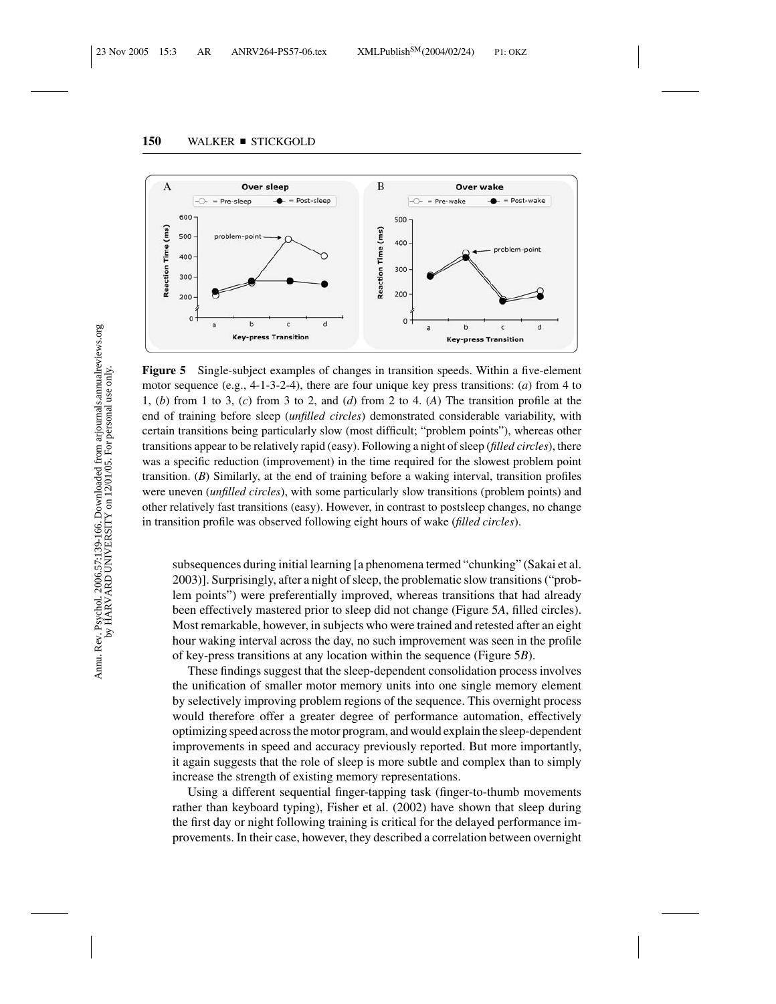

**Figure 5** Single-subject examples of changes in transition speeds. Within a five-element motor sequence (e.g., 4-1-3-2-4), there are four unique key press transitions: (*a*) from 4 to 1, (*b*) from 1 to 3, (*c*) from 3 to 2, and (*d*) from 2 to 4. (*A*) The transition profile at the end of training before sleep (*unfilled circles*) demonstrated considerable variability, with certain transitions being particularly slow (most difficult; "problem points"), whereas other transitions appear to be relatively rapid (easy). Following a night of sleep (*filled circles*), there was a specific reduction (improvement) in the time required for the slowest problem point transition. (*B*) Similarly, at the end of training before a waking interval, transition profiles were uneven (*unfilled circles*), with some particularly slow transitions (problem points) and other relatively fast transitions (easy). However, in contrast to postsleep changes, no change in transition profile was observed following eight hours of wake (*filled circles*).

subsequences during initial learning [a phenomena termed "chunking" (Sakai et al. 2003)]. Surprisingly, after a night of sleep, the problematic slow transitions ("problem points") were preferentially improved, whereas transitions that had already been effectively mastered prior to sleep did not change (Figure 5*A*, filled circles). Most remarkable, however, in subjects who were trained and retested after an eight hour waking interval across the day, no such improvement was seen in the profile of key-press transitions at any location within the sequence (Figure 5*B*).

These findings suggest that the sleep-dependent consolidation process involves the unification of smaller motor memory units into one single memory element by selectively improving problem regions of the sequence. This overnight process would therefore offer a greater degree of performance automation, effectively optimizing speed across the motor program, and would explain the sleep-dependent improvements in speed and accuracy previously reported. But more importantly, it again suggests that the role of sleep is more subtle and complex than to simply increase the strength of existing memory representations.

Using a different sequential finger-tapping task (finger-to-thumb movements rather than keyboard typing), Fisher et al. (2002) have shown that sleep during the first day or night following training is critical for the delayed performance improvements. In their case, however, they described a correlation between overnight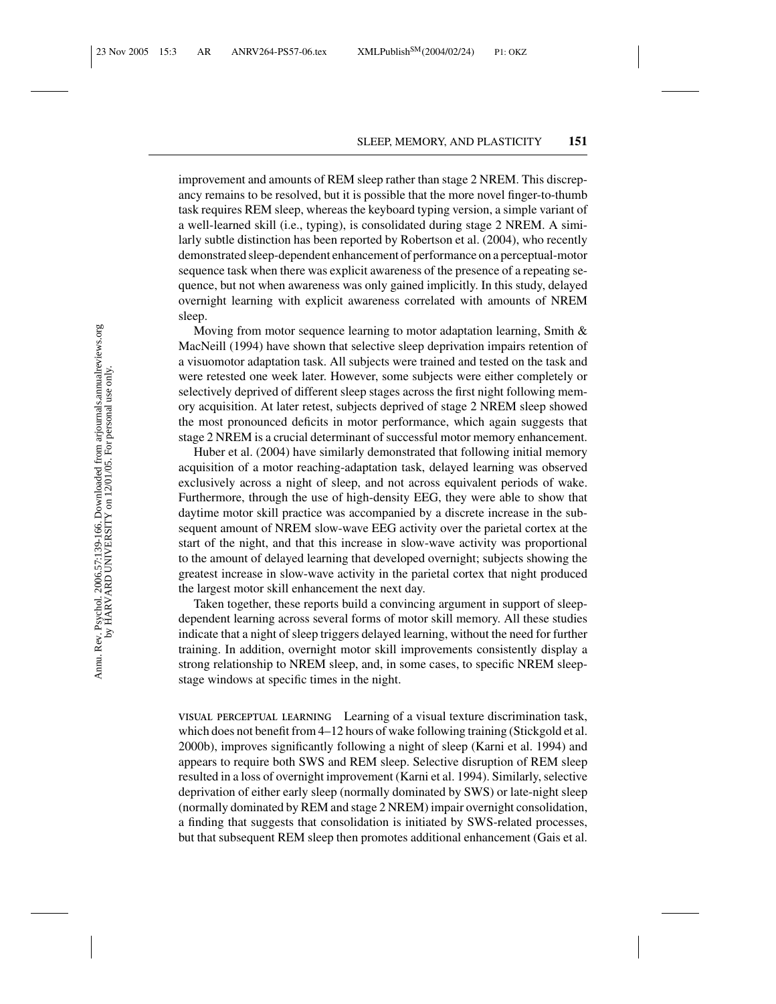improvement and amounts of REM sleep rather than stage 2 NREM. This discrepancy remains to be resolved, but it is possible that the more novel finger-to-thumb task requires REM sleep, whereas the keyboard typing version, a simple variant of a well-learned skill (i.e., typing), is consolidated during stage 2 NREM. A similarly subtle distinction has been reported by Robertson et al. (2004), who recently demonstrated sleep-dependent enhancement of performance on a perceptual-motor sequence task when there was explicit awareness of the presence of a repeating sequence, but not when awareness was only gained implicitly. In this study, delayed overnight learning with explicit awareness correlated with amounts of NREM sleep.

Moving from motor sequence learning to motor adaptation learning, Smith  $\&$ MacNeill (1994) have shown that selective sleep deprivation impairs retention of a visuomotor adaptation task. All subjects were trained and tested on the task and were retested one week later. However, some subjects were either completely or selectively deprived of different sleep stages across the first night following memory acquisition. At later retest, subjects deprived of stage 2 NREM sleep showed the most pronounced deficits in motor performance, which again suggests that stage 2 NREM is a crucial determinant of successful motor memory enhancement.

Huber et al. (2004) have similarly demonstrated that following initial memory acquisition of a motor reaching-adaptation task, delayed learning was observed exclusively across a night of sleep, and not across equivalent periods of wake. Furthermore, through the use of high-density EEG, they were able to show that daytime motor skill practice was accompanied by a discrete increase in the subsequent amount of NREM slow-wave EEG activity over the parietal cortex at the start of the night, and that this increase in slow-wave activity was proportional to the amount of delayed learning that developed overnight; subjects showing the greatest increase in slow-wave activity in the parietal cortex that night produced the largest motor skill enhancement the next day.

Taken together, these reports build a convincing argument in support of sleepdependent learning across several forms of motor skill memory. All these studies indicate that a night of sleep triggers delayed learning, without the need for further training. In addition, overnight motor skill improvements consistently display a strong relationship to NREM sleep, and, in some cases, to specific NREM sleepstage windows at specific times in the night.

**VISUAL PERCEPTUAL LEARNING** Learning of a visual texture discrimination task, which does not benefit from 4–12 hours of wake following training (Stickgold et al. 2000b), improves significantly following a night of sleep (Karni et al. 1994) and appears to require both SWS and REM sleep. Selective disruption of REM sleep resulted in a loss of overnight improvement (Karni et al. 1994). Similarly, selective deprivation of either early sleep (normally dominated by SWS) or late-night sleep (normally dominated by REM and stage 2 NREM) impair overnight consolidation, a finding that suggests that consolidation is initiated by SWS-related processes, but that subsequent REM sleep then promotes additional enhancement (Gais et al.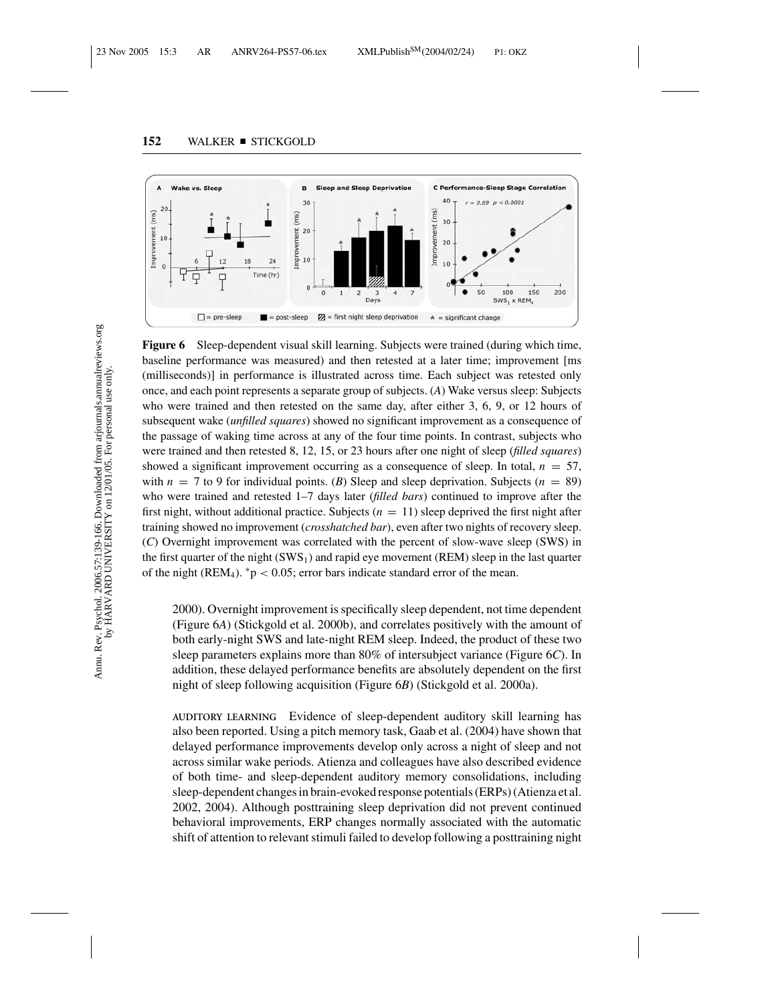

**Figure 6** Sleep-dependent visual skill learning. Subjects were trained (during which time, baseline performance was measured) and then retested at a later time; improvement [ms (milliseconds)] in performance is illustrated across time. Each subject was retested only once, and each point represents a separate group of subjects. (*A*) Wake versus sleep: Subjects who were trained and then retested on the same day, after either 3, 6, 9, or 12 hours of subsequent wake (*unfilled squares*) showed no significant improvement as a consequence of the passage of waking time across at any of the four time points. In contrast, subjects who were trained and then retested 8, 12, 15, or 23 hours after one night of sleep (*filled squares*) showed a significant improvement occurring as a consequence of sleep. In total,  $n = 57$ , with  $n = 7$  to 9 for individual points. (*B*) Sleep and sleep deprivation. Subjects ( $n = 89$ ) who were trained and retested 1–7 days later (*filled bars*) continued to improve after the first night, without additional practice. Subjects  $(n = 11)$  sleep deprived the first night after training showed no improvement (*crosshatched bar*), even after two nights of recovery sleep. (*C*) Overnight improvement was correlated with the percent of slow-wave sleep (SWS) in the first quarter of the night  $(SWS_1)$  and rapid eye movement (REM) sleep in the last quarter of the night (REM<sub>4</sub>). \*p < 0.05; error bars indicate standard error of the mean.

2000). Overnight improvement is specifically sleep dependent, not time dependent (Figure 6*A*) (Stickgold et al. 2000b), and correlates positively with the amount of both early-night SWS and late-night REM sleep. Indeed, the product of these two sleep parameters explains more than 80% of intersubject variance (Figure 6*C*). In addition, these delayed performance benefits are absolutely dependent on the first night of sleep following acquisition (Figure 6*B*) (Stickgold et al. 2000a).

**AUDITORY LEARNING** Evidence of sleep-dependent auditory skill learning has also been reported. Using a pitch memory task, Gaab et al. (2004) have shown that delayed performance improvements develop only across a night of sleep and not across similar wake periods. Atienza and colleagues have also described evidence of both time- and sleep-dependent auditory memory consolidations, including sleep-dependent changes in brain-evoked response potentials (ERPs) (Atienza et al. 2002, 2004). Although posttraining sleep deprivation did not prevent continued behavioral improvements, ERP changes normally associated with the automatic shift of attention to relevant stimuli failed to develop following a posttraining night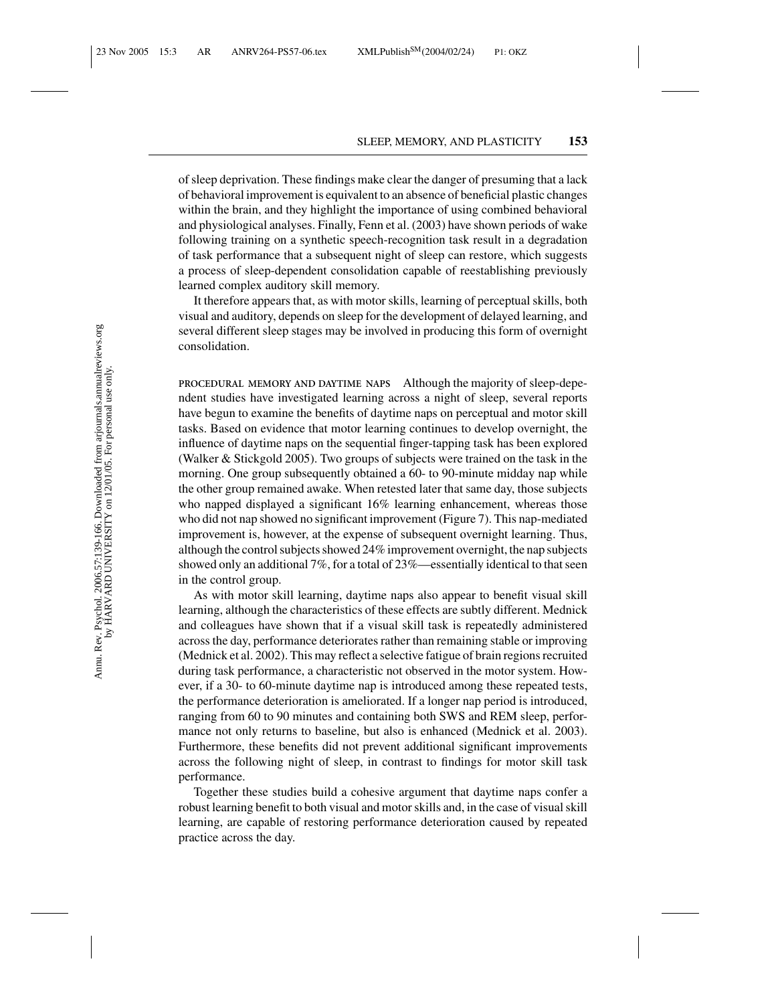of sleep deprivation. These findings make clear the danger of presuming that a lack of behavioral improvement is equivalent to an absence of beneficial plastic changes within the brain, and they highlight the importance of using combined behavioral and physiological analyses. Finally, Fenn et al. (2003) have shown periods of wake following training on a synthetic speech-recognition task result in a degradation of task performance that a subsequent night of sleep can restore, which suggests a process of sleep-dependent consolidation capable of reestablishing previously learned complex auditory skill memory.

It therefore appears that, as with motor skills, learning of perceptual skills, both visual and auditory, depends on sleep for the development of delayed learning, and several different sleep stages may be involved in producing this form of overnight consolidation.

**PROCEDURAL MEMORY AND DAYTIME NAPS** Although the majority of sleep-dependent studies have investigated learning across a night of sleep, several reports have begun to examine the benefits of daytime naps on perceptual and motor skill tasks. Based on evidence that motor learning continues to develop overnight, the influence of daytime naps on the sequential finger-tapping task has been explored (Walker & Stickgold 2005). Two groups of subjects were trained on the task in the morning. One group subsequently obtained a 60- to 90-minute midday nap while the other group remained awake. When retested later that same day, those subjects who napped displayed a significant 16% learning enhancement, whereas those who did not nap showed no significant improvement (Figure 7). This nap-mediated improvement is, however, at the expense of subsequent overnight learning. Thus, although the control subjects showed 24% improvement overnight, the nap subjects showed only an additional 7%, for a total of 23%—essentially identical to that seen in the control group.

As with motor skill learning, daytime naps also appear to benefit visual skill learning, although the characteristics of these effects are subtly different. Mednick and colleagues have shown that if a visual skill task is repeatedly administered across the day, performance deteriorates rather than remaining stable or improving (Mednick et al. 2002). This may reflect a selective fatigue of brain regions recruited during task performance, a characteristic not observed in the motor system. However, if a 30- to 60-minute daytime nap is introduced among these repeated tests, the performance deterioration is ameliorated. If a longer nap period is introduced, ranging from 60 to 90 minutes and containing both SWS and REM sleep, performance not only returns to baseline, but also is enhanced (Mednick et al. 2003). Furthermore, these benefits did not prevent additional significant improvements across the following night of sleep, in contrast to findings for motor skill task performance.

Together these studies build a cohesive argument that daytime naps confer a robust learning benefit to both visual and motor skills and, in the case of visual skill learning, are capable of restoring performance deterioration caused by repeated practice across the day.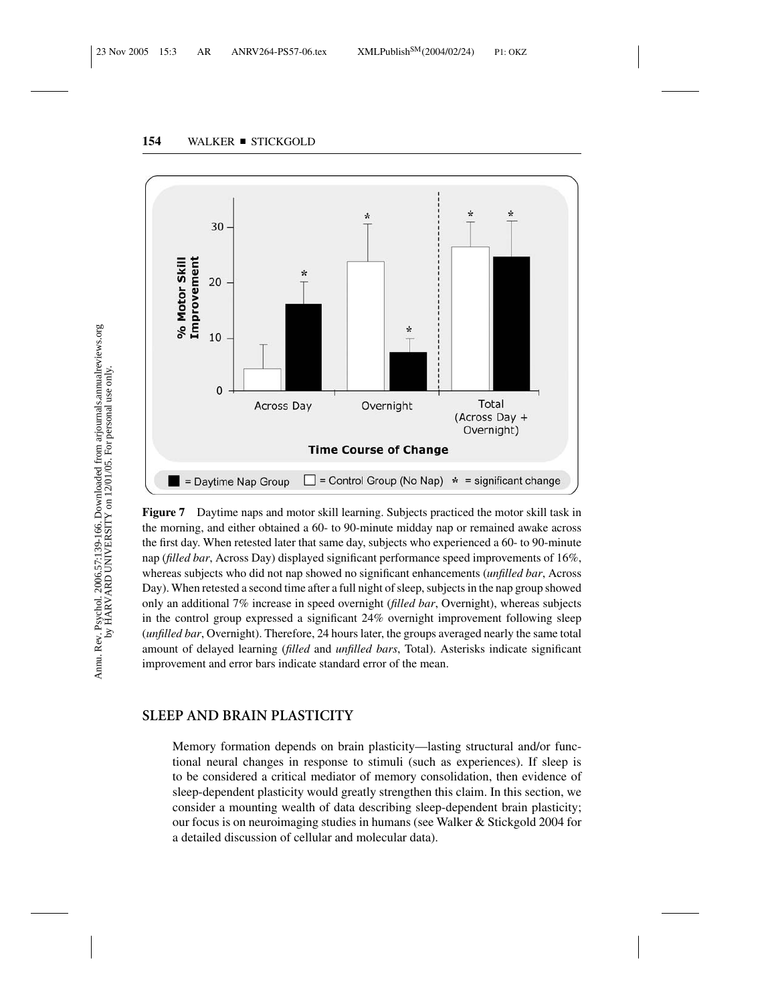

**Figure 7** Daytime naps and motor skill learning. Subjects practiced the motor skill task in the morning, and either obtained a 60- to 90-minute midday nap or remained awake across the first day. When retested later that same day, subjects who experienced a 60- to 90-minute nap (*filled bar*, Across Day) displayed significant performance speed improvements of 16%, whereas subjects who did not nap showed no significant enhancements (*unfilled bar*, Across Day). When retested a second time after a full night of sleep, subjects in the nap group showed only an additional 7% increase in speed overnight (*filled bar*, Overnight), whereas subjects in the control group expressed a significant 24% overnight improvement following sleep (*unfilled bar*, Overnight). Therefore, 24 hours later, the groups averaged nearly the same total amount of delayed learning (*filled* and *unfilled bars*, Total). Asterisks indicate significant improvement and error bars indicate standard error of the mean.

## **SLEEP AND BRAIN PLASTICITY**

Memory formation depends on brain plasticity—lasting structural and/or functional neural changes in response to stimuli (such as experiences). If sleep is to be considered a critical mediator of memory consolidation, then evidence of sleep-dependent plasticity would greatly strengthen this claim. In this section, we consider a mounting wealth of data describing sleep-dependent brain plasticity; our focus is on neuroimaging studies in humans (see Walker & Stickgold 2004 for a detailed discussion of cellular and molecular data).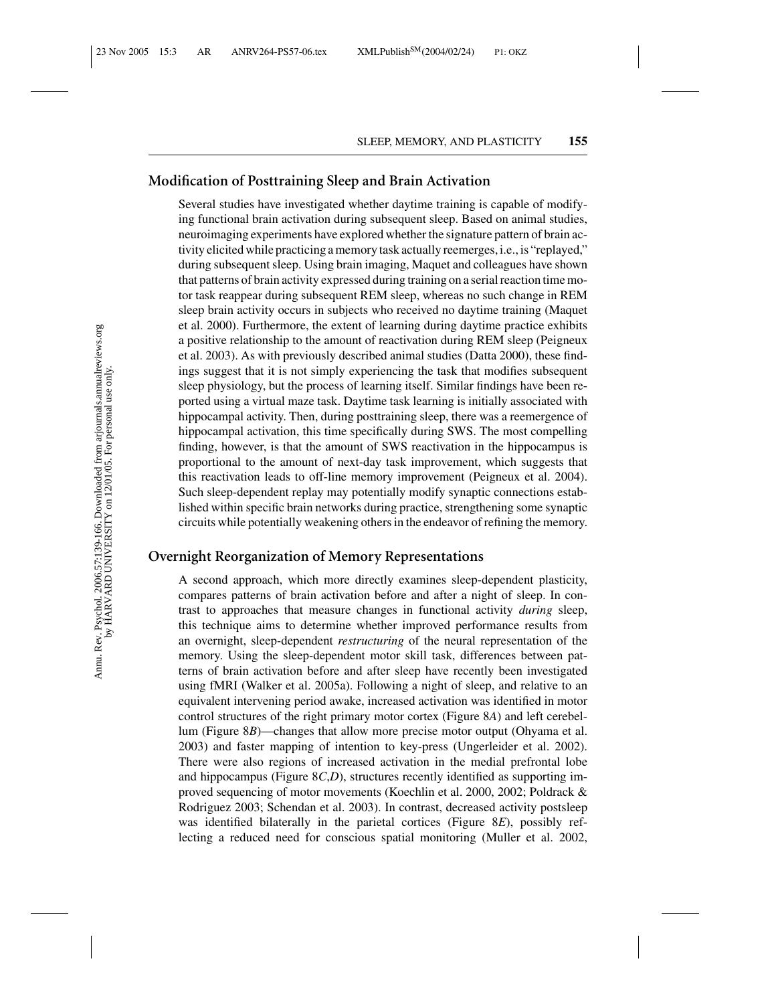## **Modification of Posttraining Sleep and Brain Activation**

Several studies have investigated whether daytime training is capable of modifying functional brain activation during subsequent sleep. Based on animal studies, neuroimaging experiments have explored whether the signature pattern of brain activity elicited while practicing a memory task actually reemerges, i.e., is "replayed," during subsequent sleep. Using brain imaging, Maquet and colleagues have shown that patterns of brain activity expressed during training on a serial reaction time motor task reappear during subsequent REM sleep, whereas no such change in REM sleep brain activity occurs in subjects who received no daytime training (Maquet et al. 2000). Furthermore, the extent of learning during daytime practice exhibits a positive relationship to the amount of reactivation during REM sleep (Peigneux et al. 2003). As with previously described animal studies (Datta 2000), these findings suggest that it is not simply experiencing the task that modifies subsequent sleep physiology, but the process of learning itself. Similar findings have been reported using a virtual maze task. Daytime task learning is initially associated with hippocampal activity. Then, during posttraining sleep, there was a reemergence of hippocampal activation, this time specifically during SWS. The most compelling finding, however, is that the amount of SWS reactivation in the hippocampus is proportional to the amount of next-day task improvement, which suggests that this reactivation leads to off-line memory improvement (Peigneux et al. 2004). Such sleep-dependent replay may potentially modify synaptic connections established within specific brain networks during practice, strengthening some synaptic circuits while potentially weakening others in the endeavor of refining the memory.

## **Overnight Reorganization of Memory Representations**

A second approach, which more directly examines sleep-dependent plasticity, compares patterns of brain activation before and after a night of sleep. In contrast to approaches that measure changes in functional activity *during* sleep, this technique aims to determine whether improved performance results from an overnight, sleep-dependent *restructuring* of the neural representation of the memory. Using the sleep-dependent motor skill task, differences between patterns of brain activation before and after sleep have recently been investigated using fMRI (Walker et al. 2005a). Following a night of sleep, and relative to an equivalent intervening period awake, increased activation was identified in motor control structures of the right primary motor cortex (Figure 8*A*) and left cerebellum (Figure 8*B*)—changes that allow more precise motor output (Ohyama et al. 2003) and faster mapping of intention to key-press (Ungerleider et al. 2002). There were also regions of increased activation in the medial prefrontal lobe and hippocampus (Figure 8*C*,*D*), structures recently identified as supporting improved sequencing of motor movements (Koechlin et al. 2000, 2002; Poldrack & Rodriguez 2003; Schendan et al. 2003). In contrast, decreased activity postsleep was identified bilaterally in the parietal cortices (Figure 8*E*), possibly reflecting a reduced need for conscious spatial monitoring (Muller et al. 2002,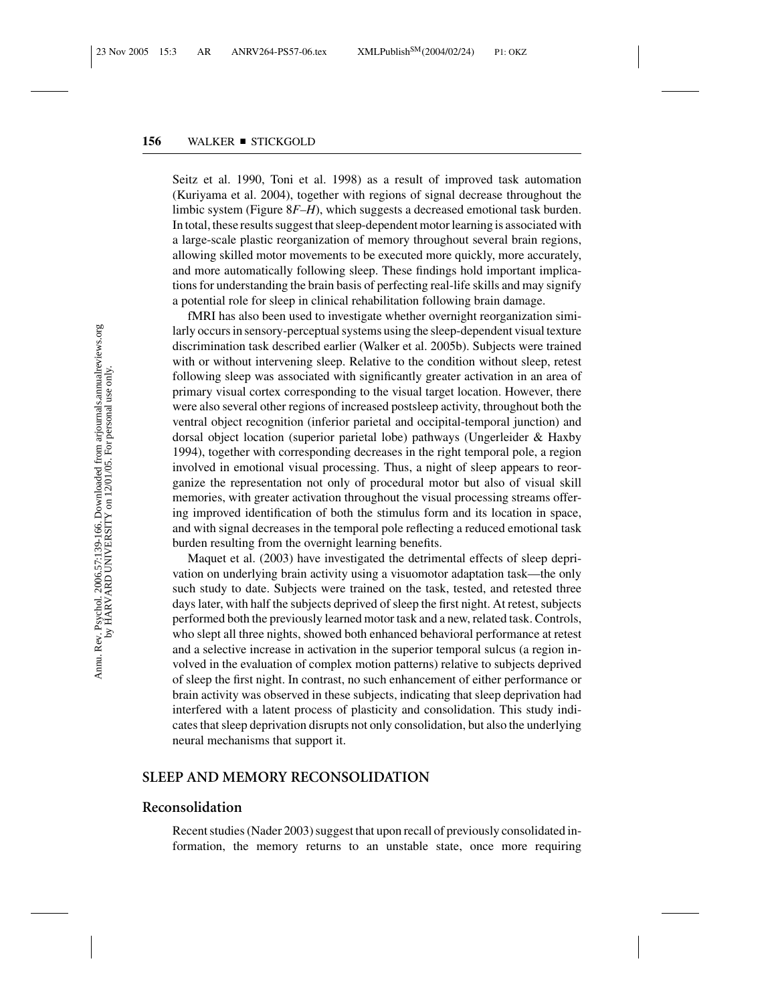Seitz et al. 1990, Toni et al. 1998) as a result of improved task automation (Kuriyama et al. 2004), together with regions of signal decrease throughout the limbic system (Figure 8*F–H*), which suggests a decreased emotional task burden. In total, these results suggest that sleep-dependent motor learning is associated with a large-scale plastic reorganization of memory throughout several brain regions, allowing skilled motor movements to be executed more quickly, more accurately, and more automatically following sleep. These findings hold important implications for understanding the brain basis of perfecting real-life skills and may signify a potential role for sleep in clinical rehabilitation following brain damage.

fMRI has also been used to investigate whether overnight reorganization similarly occurs in sensory-perceptual systems using the sleep-dependent visual texture discrimination task described earlier (Walker et al. 2005b). Subjects were trained with or without intervening sleep. Relative to the condition without sleep, retest following sleep was associated with significantly greater activation in an area of primary visual cortex corresponding to the visual target location. However, there were also several other regions of increased postsleep activity, throughout both the ventral object recognition (inferior parietal and occipital-temporal junction) and dorsal object location (superior parietal lobe) pathways (Ungerleider & Haxby 1994), together with corresponding decreases in the right temporal pole, a region involved in emotional visual processing. Thus, a night of sleep appears to reorganize the representation not only of procedural motor but also of visual skill memories, with greater activation throughout the visual processing streams offering improved identification of both the stimulus form and its location in space, and with signal decreases in the temporal pole reflecting a reduced emotional task burden resulting from the overnight learning benefits.

Maquet et al. (2003) have investigated the detrimental effects of sleep deprivation on underlying brain activity using a visuomotor adaptation task—the only such study to date. Subjects were trained on the task, tested, and retested three days later, with half the subjects deprived of sleep the first night. At retest, subjects performed both the previously learned motor task and a new, related task. Controls, who slept all three nights, showed both enhanced behavioral performance at retest and a selective increase in activation in the superior temporal sulcus (a region involved in the evaluation of complex motion patterns) relative to subjects deprived of sleep the first night. In contrast, no such enhancement of either performance or brain activity was observed in these subjects, indicating that sleep deprivation had interfered with a latent process of plasticity and consolidation. This study indicates that sleep deprivation disrupts not only consolidation, but also the underlying neural mechanisms that support it.

## **SLEEP AND MEMORY RECONSOLIDATION**

#### **Reconsolidation**

Recent studies (Nader 2003) suggest that upon recall of previously consolidated information, the memory returns to an unstable state, once more requiring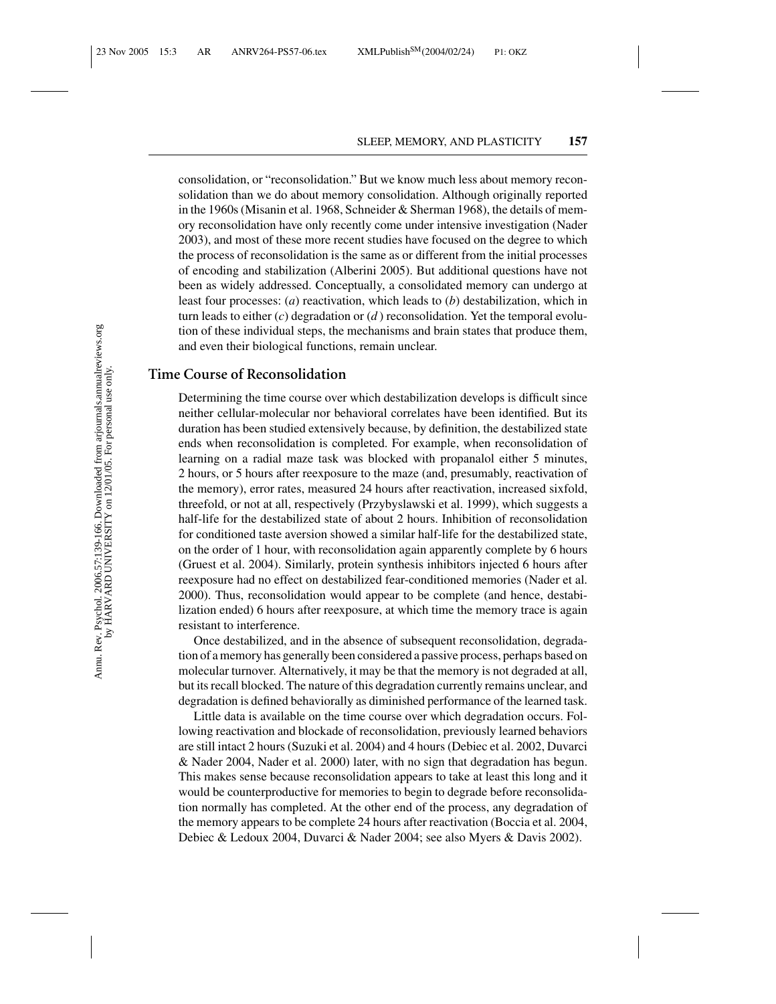consolidation, or "reconsolidation." But we know much less about memory reconsolidation than we do about memory consolidation. Although originally reported in the 1960s (Misanin et al. 1968, Schneider & Sherman 1968), the details of memory reconsolidation have only recently come under intensive investigation (Nader 2003), and most of these more recent studies have focused on the degree to which the process of reconsolidation is the same as or different from the initial processes of encoding and stabilization (Alberini 2005). But additional questions have not been as widely addressed. Conceptually, a consolidated memory can undergo at least four processes: (*a*) reactivation, which leads to (*b*) destabilization, which in turn leads to either (*c*) degradation or (*d* ) reconsolidation. Yet the temporal evolution of these individual steps, the mechanisms and brain states that produce them, and even their biological functions, remain unclear.

#### **Time Course of Reconsolidation**

Determining the time course over which destabilization develops is difficult since neither cellular-molecular nor behavioral correlates have been identified. But its duration has been studied extensively because, by definition, the destabilized state ends when reconsolidation is completed. For example, when reconsolidation of learning on a radial maze task was blocked with propanalol either 5 minutes, 2 hours, or 5 hours after reexposure to the maze (and, presumably, reactivation of the memory), error rates, measured 24 hours after reactivation, increased sixfold, threefold, or not at all, respectively (Przybyslawski et al. 1999), which suggests a half-life for the destabilized state of about 2 hours. Inhibition of reconsolidation for conditioned taste aversion showed a similar half-life for the destabilized state, on the order of 1 hour, with reconsolidation again apparently complete by 6 hours (Gruest et al. 2004). Similarly, protein synthesis inhibitors injected 6 hours after reexposure had no effect on destabilized fear-conditioned memories (Nader et al. 2000). Thus, reconsolidation would appear to be complete (and hence, destabilization ended) 6 hours after reexposure, at which time the memory trace is again resistant to interference.

Once destabilized, and in the absence of subsequent reconsolidation, degradation of a memory has generally been considered a passive process, perhaps based on molecular turnover. Alternatively, it may be that the memory is not degraded at all, but its recall blocked. The nature of this degradation currently remains unclear, and degradation is defined behaviorally as diminished performance of the learned task.

Little data is available on the time course over which degradation occurs. Following reactivation and blockade of reconsolidation, previously learned behaviors are still intact 2 hours (Suzuki et al. 2004) and 4 hours (Debiec et al. 2002, Duvarci & Nader 2004, Nader et al. 2000) later, with no sign that degradation has begun. This makes sense because reconsolidation appears to take at least this long and it would be counterproductive for memories to begin to degrade before reconsolidation normally has completed. At the other end of the process, any degradation of the memory appears to be complete 24 hours after reactivation (Boccia et al. 2004, Debiec & Ledoux 2004, Duvarci & Nader 2004; see also Myers & Davis 2002).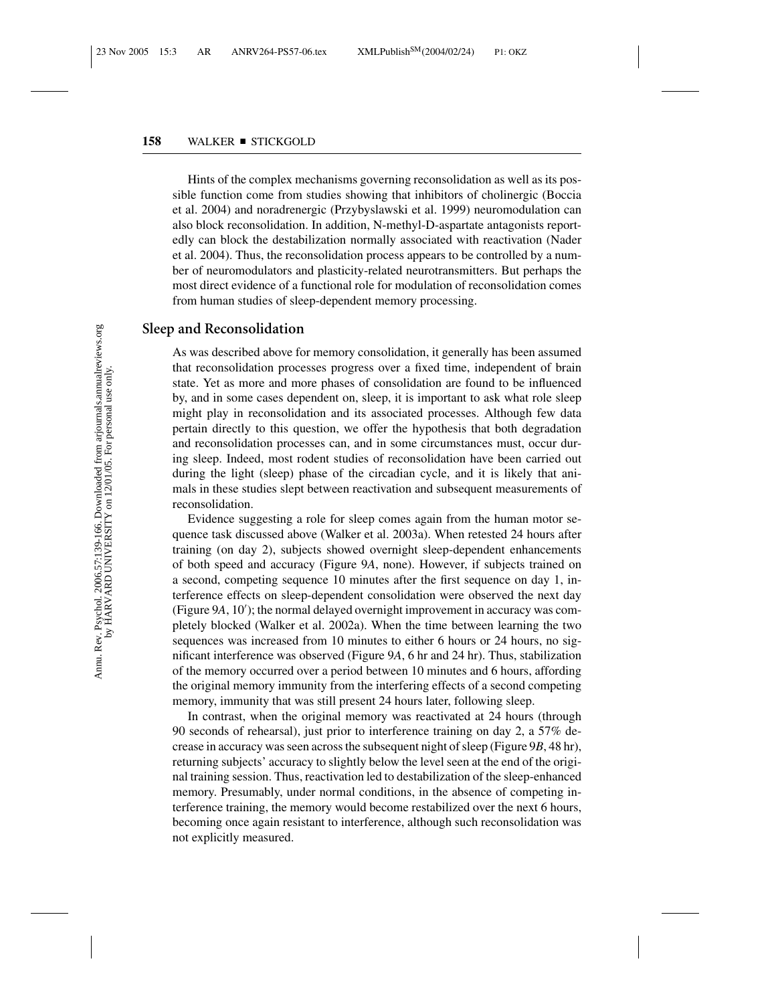Hints of the complex mechanisms governing reconsolidation as well as its possible function come from studies showing that inhibitors of cholinergic (Boccia et al. 2004) and noradrenergic (Przybyslawski et al. 1999) neuromodulation can also block reconsolidation. In addition, N-methyl-D-aspartate antagonists reportedly can block the destabilization normally associated with reactivation (Nader et al. 2004). Thus, the reconsolidation process appears to be controlled by a number of neuromodulators and plasticity-related neurotransmitters. But perhaps the most direct evidence of a functional role for modulation of reconsolidation comes from human studies of sleep-dependent memory processing.

#### **Sleep and Reconsolidation**

As was described above for memory consolidation, it generally has been assumed that reconsolidation processes progress over a fixed time, independent of brain state. Yet as more and more phases of consolidation are found to be influenced by, and in some cases dependent on, sleep, it is important to ask what role sleep might play in reconsolidation and its associated processes. Although few data pertain directly to this question, we offer the hypothesis that both degradation and reconsolidation processes can, and in some circumstances must, occur during sleep. Indeed, most rodent studies of reconsolidation have been carried out during the light (sleep) phase of the circadian cycle, and it is likely that animals in these studies slept between reactivation and subsequent measurements of reconsolidation.

Evidence suggesting a role for sleep comes again from the human motor sequence task discussed above (Walker et al. 2003a). When retested 24 hours after training (on day 2), subjects showed overnight sleep-dependent enhancements of both speed and accuracy (Figure 9*A*, none). However, if subjects trained on a second, competing sequence 10 minutes after the first sequence on day 1, interference effects on sleep-dependent consolidation were observed the next day (Figure 9A, 10'); the normal delayed overnight improvement in accuracy was completely blocked (Walker et al. 2002a). When the time between learning the two sequences was increased from 10 minutes to either 6 hours or 24 hours, no significant interference was observed (Figure 9*A*, 6 hr and 24 hr). Thus, stabilization of the memory occurred over a period between 10 minutes and 6 hours, affording the original memory immunity from the interfering effects of a second competing memory, immunity that was still present 24 hours later, following sleep.

In contrast, when the original memory was reactivated at 24 hours (through 90 seconds of rehearsal), just prior to interference training on day 2, a 57% decrease in accuracy was seen across the subsequent night of sleep (Figure 9*B*, 48 hr), returning subjects' accuracy to slightly below the level seen at the end of the original training session. Thus, reactivation led to destabilization of the sleep-enhanced memory. Presumably, under normal conditions, in the absence of competing interference training, the memory would become restabilized over the next 6 hours, becoming once again resistant to interference, although such reconsolidation was not explicitly measured.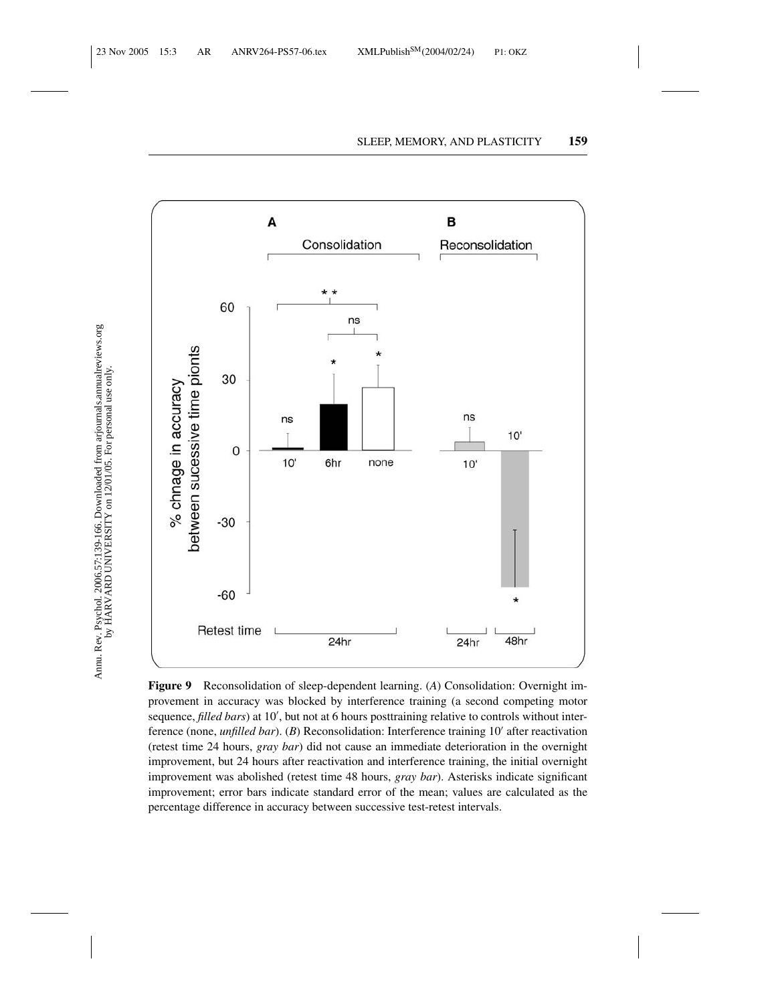

**Figure 9** Reconsolidation of sleep-dependent learning. (*A*) Consolidation: Overnight improvement in accuracy was blocked by interference training (a second competing motor sequence, *filled bars*) at 10', but not at 6 hours posttraining relative to controls without interference (none, *unfilled bar*). (*B*) Reconsolidation: Interference training 10' after reactivation (retest time 24 hours, *gray bar*) did not cause an immediate deterioration in the overnight improvement, but 24 hours after reactivation and interference training, the initial overnight improvement was abolished (retest time 48 hours, *gray bar*). Asterisks indicate significant improvement; error bars indicate standard error of the mean; values are calculated as the percentage difference in accuracy between successive test-retest intervals.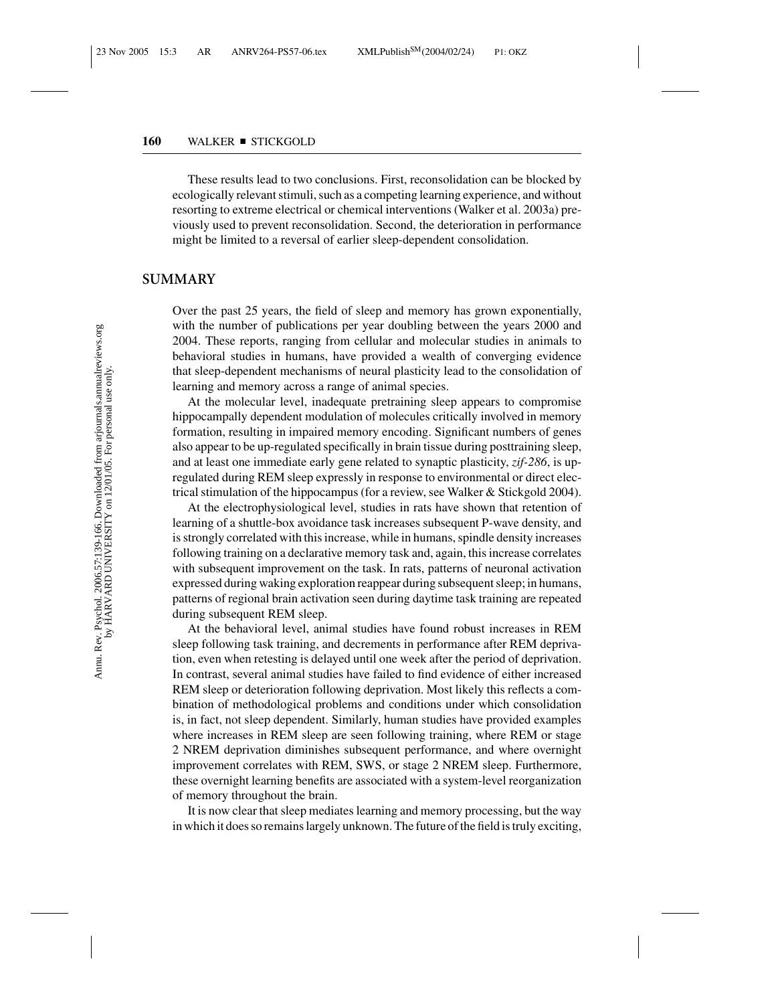These results lead to two conclusions. First, reconsolidation can be blocked by ecologically relevant stimuli, such as a competing learning experience, and without resorting to extreme electrical or chemical interventions (Walker et al. 2003a) previously used to prevent reconsolidation. Second, the deterioration in performance might be limited to a reversal of earlier sleep-dependent consolidation.

## **SUMMARY**

Over the past 25 years, the field of sleep and memory has grown exponentially, with the number of publications per year doubling between the years 2000 and 2004. These reports, ranging from cellular and molecular studies in animals to behavioral studies in humans, have provided a wealth of converging evidence that sleep-dependent mechanisms of neural plasticity lead to the consolidation of learning and memory across a range of animal species.

At the molecular level, inadequate pretraining sleep appears to compromise hippocampally dependent modulation of molecules critically involved in memory formation, resulting in impaired memory encoding. Significant numbers of genes also appear to be up-regulated specifically in brain tissue during posttraining sleep, and at least one immediate early gene related to synaptic plasticity, *zif-286*, is upregulated during REM sleep expressly in response to environmental or direct electrical stimulation of the hippocampus (for a review, see Walker & Stickgold 2004).

At the electrophysiological level, studies in rats have shown that retention of learning of a shuttle-box avoidance task increases subsequent P-wave density, and is strongly correlated with this increase, while in humans, spindle density increases following training on a declarative memory task and, again, this increase correlates with subsequent improvement on the task. In rats, patterns of neuronal activation expressed during waking exploration reappear during subsequent sleep; in humans, patterns of regional brain activation seen during daytime task training are repeated during subsequent REM sleep.

At the behavioral level, animal studies have found robust increases in REM sleep following task training, and decrements in performance after REM deprivation, even when retesting is delayed until one week after the period of deprivation. In contrast, several animal studies have failed to find evidence of either increased REM sleep or deterioration following deprivation. Most likely this reflects a combination of methodological problems and conditions under which consolidation is, in fact, not sleep dependent. Similarly, human studies have provided examples where increases in REM sleep are seen following training, where REM or stage 2 NREM deprivation diminishes subsequent performance, and where overnight improvement correlates with REM, SWS, or stage 2 NREM sleep. Furthermore, these overnight learning benefits are associated with a system-level reorganization of memory throughout the brain.

It is now clear that sleep mediates learning and memory processing, but the way in which it does so remains largely unknown. The future of the field is truly exciting,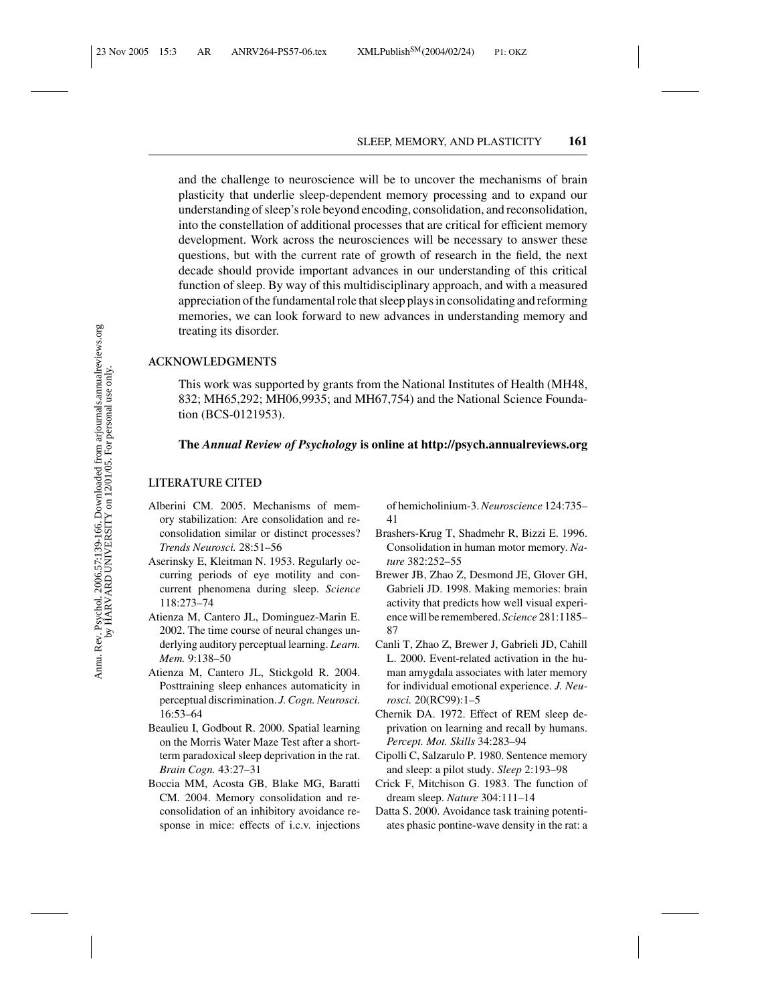and the challenge to neuroscience will be to uncover the mechanisms of brain plasticity that underlie sleep-dependent memory processing and to expand our understanding of sleep's role beyond encoding, consolidation, and reconsolidation, into the constellation of additional processes that are critical for efficient memory development. Work across the neurosciences will be necessary to answer these questions, but with the current rate of growth of research in the field, the next decade should provide important advances in our understanding of this critical function of sleep. By way of this multidisciplinary approach, and with a measured appreciation of the fundamental role that sleep plays in consolidating and reforming memories, we can look forward to new advances in understanding memory and treating its disorder.

#### **ACKNOWLEDGMENTS**

This work was supported by grants from the National Institutes of Health (MH48, 832; MH65,292; MH06,9935; and MH67,754) and the National Science Foundation (BCS-0121953).

#### **The** *Annual Review of Psychology* **is online at http://psych.annualreviews.org**

#### **LITERATURE CITED**

- Alberini CM. 2005. Mechanisms of memory stabilization: Are consolidation and reconsolidation similar or distinct processes? *Trends Neurosci.* 28:51–56
- Aserinsky E, Kleitman N. 1953. Regularly occurring periods of eye motility and concurrent phenomena during sleep. *Science* 118:273–74
- Atienza M, Cantero JL, Dominguez-Marin E. 2002. The time course of neural changes underlying auditory perceptual learning. *Learn. Mem.* 9:138–50
- Atienza M, Cantero JL, Stickgold R. 2004. Posttraining sleep enhances automaticity in perceptual discrimination. *J.Cogn. Neurosci.* 16:53–64
- Beaulieu I, Godbout R. 2000. Spatial learning on the Morris Water Maze Test after a shortterm paradoxical sleep deprivation in the rat. *Brain Cogn.* 43:27–31
- Boccia MM, Acosta GB, Blake MG, Baratti CM. 2004. Memory consolidation and reconsolidation of an inhibitory avoidance response in mice: effects of i.c.v. injections

of hemicholinium-3. *Neuroscience* 124:735– 41

- Brashers-Krug T, Shadmehr R, Bizzi E. 1996. Consolidation in human motor memory. *Nature* 382:252–55
- Brewer JB, Zhao Z, Desmond JE, Glover GH, Gabrieli JD. 1998. Making memories: brain activity that predicts how well visual experience will be remembered. *Science* 281:1185– 87
- Canli T, Zhao Z, Brewer J, Gabrieli JD, Cahill L. 2000. Event-related activation in the human amygdala associates with later memory for individual emotional experience. *J. Neurosci.* 20(RC99):1–5
- Chernik DA. 1972. Effect of REM sleep deprivation on learning and recall by humans. *Percept. Mot. Skills* 34:283–94
- Cipolli C, Salzarulo P. 1980. Sentence memory and sleep: a pilot study. *Sleep* 2:193–98
- Crick F, Mitchison G. 1983. The function of dream sleep. *Nature* 304:111–14
- Datta S. 2000. Avoidance task training potentiates phasic pontine-wave density in the rat: a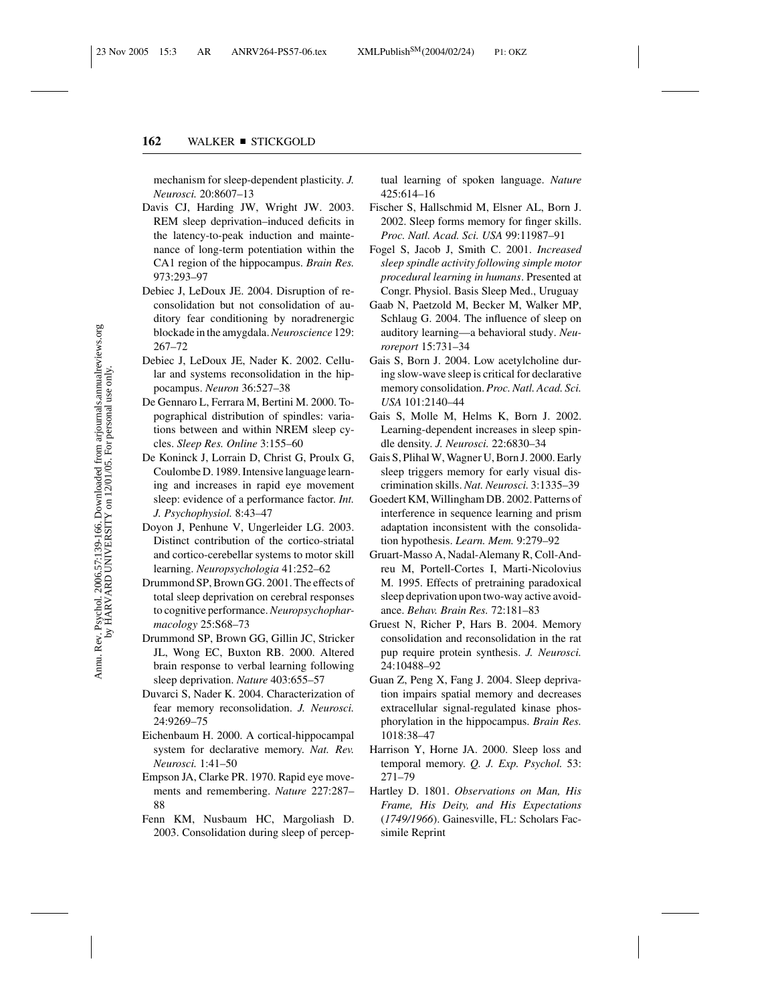mechanism for sleep-dependent plasticity. *J. Neurosci.* 20:8607–13

- Davis CJ, Harding JW, Wright JW. 2003. REM sleep deprivation–induced deficits in the latency-to-peak induction and maintenance of long-term potentiation within the CA1 region of the hippocampus. *Brain Res.* 973:293–97
- Debiec J, LeDoux JE. 2004. Disruption of reconsolidation but not consolidation of auditory fear conditioning by noradrenergic blockade in the amygdala.*Neuroscience* 129: 267–72
- Debiec J, LeDoux JE, Nader K. 2002. Cellular and systems reconsolidation in the hippocampus. *Neuron* 36:527–38
- De Gennaro L, Ferrara M, Bertini M. 2000. Topographical distribution of spindles: variations between and within NREM sleep cycles. *Sleep Res. Online* 3:155–60
- De Koninck J, Lorrain D, Christ G, Proulx G, Coulombe D. 1989. Intensive language learning and increases in rapid eye movement sleep: evidence of a performance factor. *Int. J. Psychophysiol.* 8:43–47
- Doyon J, Penhune V, Ungerleider LG. 2003. Distinct contribution of the cortico-striatal and cortico-cerebellar systems to motor skill learning. *Neuropsychologia* 41:252–62
- Drummond SP, Brown GG. 2001. The effects of total sleep deprivation on cerebral responses to cognitive performance.*Neuropsychopharmacology* 25:S68–73
- Drummond SP, Brown GG, Gillin JC, Stricker JL, Wong EC, Buxton RB. 2000. Altered brain response to verbal learning following sleep deprivation. *Nature* 403:655–57
- Duvarci S, Nader K. 2004. Characterization of fear memory reconsolidation. *J. Neurosci.* 24:9269–75
- Eichenbaum H. 2000. A cortical-hippocampal system for declarative memory. *Nat. Rev. Neurosci.* 1:41–50
- Empson JA, Clarke PR. 1970. Rapid eye movements and remembering. *Nature* 227:287– 88
- Fenn KM, Nusbaum HC, Margoliash D. 2003. Consolidation during sleep of percep-

tual learning of spoken language. *Nature* 425:614–16

- Fischer S, Hallschmid M, Elsner AL, Born J. 2002. Sleep forms memory for finger skills. *Proc. Natl. Acad. Sci. USA* 99:11987–91
- Fogel S, Jacob J, Smith C. 2001. *Increased sleep spindle activity following simple motor procedural learning in humans*. Presented at Congr. Physiol. Basis Sleep Med., Uruguay
- Gaab N, Paetzold M, Becker M, Walker MP, Schlaug G. 2004. The influence of sleep on auditory learning—a behavioral study. *Neuroreport* 15:731–34
- Gais S, Born J. 2004. Low acetylcholine during slow-wave sleep is critical for declarative memory consolidation. *Proc. Natl. Acad. Sci. USA* 101:2140–44
- Gais S, Molle M, Helms K, Born J. 2002. Learning-dependent increases in sleep spindle density. *J. Neurosci.* 22:6830–34
- Gais S, Plihal W, Wagner U, Born J. 2000. Early sleep triggers memory for early visual discrimination skills. *Nat. Neurosci.* 3:1335–39
- Goedert KM, Willingham DB. 2002. Patterns of interference in sequence learning and prism adaptation inconsistent with the consolidation hypothesis. *Learn. Mem.* 9:279–92
- Gruart-Masso A, Nadal-Alemany R, Coll-Andreu M, Portell-Cortes I, Marti-Nicolovius M. 1995. Effects of pretraining paradoxical sleep deprivation upon two-way active avoidance. *Behav. Brain Res.* 72:181–83
- Gruest N, Richer P, Hars B. 2004. Memory consolidation and reconsolidation in the rat pup require protein synthesis. *J. Neurosci.* 24:10488–92
- Guan Z, Peng X, Fang J. 2004. Sleep deprivation impairs spatial memory and decreases extracellular signal-regulated kinase phosphorylation in the hippocampus. *Brain Res.* 1018:38–47
- Harrison Y, Horne JA. 2000. Sleep loss and temporal memory. *Q. J. Exp. Psychol.* 53: 271–79
- Hartley D. 1801. *Observations on Man, His Frame, His Deity, and His Expectations* (*1749/1966*). Gainesville, FL: Scholars Facsimile Reprint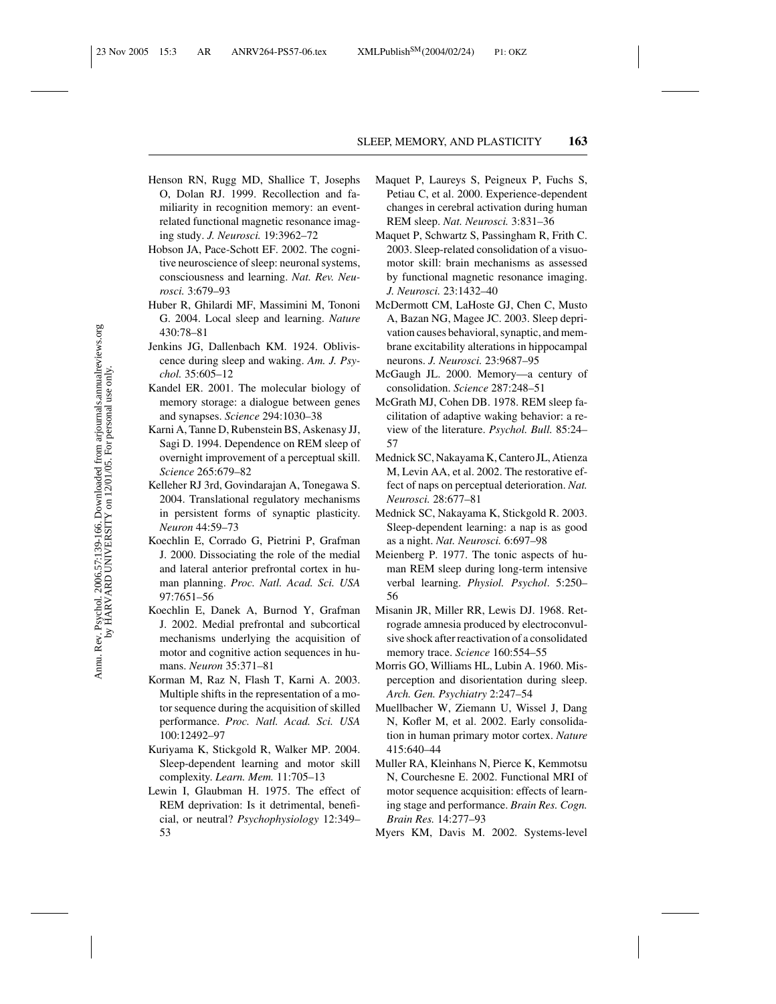- Henson RN, Rugg MD, Shallice T, Josephs O, Dolan RJ. 1999. Recollection and familiarity in recognition memory: an eventrelated functional magnetic resonance imaging study. *J. Neurosci.* 19:3962–72
- Hobson JA, Pace-Schott EF. 2002. The cognitive neuroscience of sleep: neuronal systems, consciousness and learning. *Nat. Rev. Neurosci.* 3:679–93
- Huber R, Ghilardi MF, Massimini M, Tononi G. 2004. Local sleep and learning. *Nature* 430:78–81
- Jenkins JG, Dallenbach KM. 1924. Obliviscence during sleep and waking. *Am. J. Psychol.* 35:605–12
- Kandel ER. 2001. The molecular biology of memory storage: a dialogue between genes and synapses. *Science* 294:1030–38
- Karni A, Tanne D, Rubenstein BS, Askenasy JJ, Sagi D. 1994. Dependence on REM sleep of overnight improvement of a perceptual skill. *Science* 265:679–82
- Kelleher RJ 3rd, Govindarajan A, Tonegawa S. 2004. Translational regulatory mechanisms in persistent forms of synaptic plasticity. *Neuron* 44:59–73
- Koechlin E, Corrado G, Pietrini P, Grafman J. 2000. Dissociating the role of the medial and lateral anterior prefrontal cortex in human planning. *Proc. Natl. Acad. Sci. USA* 97:7651–56
- Koechlin E, Danek A, Burnod Y, Grafman J. 2002. Medial prefrontal and subcortical mechanisms underlying the acquisition of motor and cognitive action sequences in humans. *Neuron* 35:371–81
- Korman M, Raz N, Flash T, Karni A. 2003. Multiple shifts in the representation of a motor sequence during the acquisition of skilled performance. *Proc. Natl. Acad. Sci. USA* 100:12492–97
- Kuriyama K, Stickgold R, Walker MP. 2004. Sleep-dependent learning and motor skill complexity. *Learn. Mem.* 11:705–13
- Lewin I, Glaubman H. 1975. The effect of REM deprivation: Is it detrimental, beneficial, or neutral? *Psychophysiology* 12:349– 53
- Maquet P, Laureys S, Peigneux P, Fuchs S, Petiau C, et al. 2000. Experience-dependent changes in cerebral activation during human REM sleep. *Nat. Neurosci.* 3:831–36
- Maquet P, Schwartz S, Passingham R, Frith C. 2003. Sleep-related consolidation of a visuomotor skill: brain mechanisms as assessed by functional magnetic resonance imaging. *J. Neurosci.* 23:1432–40
- McDermott CM, LaHoste GJ, Chen C, Musto A, Bazan NG, Magee JC. 2003. Sleep deprivation causes behavioral, synaptic, and membrane excitability alterations in hippocampal neurons. *J. Neurosci.* 23:9687–95
- McGaugh JL. 2000. Memory—a century of consolidation. *Science* 287:248–51
- McGrath MJ, Cohen DB. 1978. REM sleep facilitation of adaptive waking behavior: a review of the literature. *Psychol. Bull.* 85:24– 57
- Mednick SC, Nakayama K, Cantero JL, Atienza M, Levin AA, et al. 2002. The restorative effect of naps on perceptual deterioration. *Nat. Neurosci.* 28:677–81
- Mednick SC, Nakayama K, Stickgold R. 2003. Sleep-dependent learning: a nap is as good as a night. *Nat. Neurosci.* 6:697–98
- Meienberg P. 1977. The tonic aspects of human REM sleep during long-term intensive verbal learning. *Physiol. Psychol*. 5:250– 56
- Misanin JR, Miller RR, Lewis DJ. 1968. Retrograde amnesia produced by electroconvulsive shock after reactivation of a consolidated memory trace. *Science* 160:554–55
- Morris GO, Williams HL, Lubin A. 1960. Misperception and disorientation during sleep. *Arch. Gen. Psychiatry* 2:247–54
- Muellbacher W, Ziemann U, Wissel J, Dang N, Kofler M, et al. 2002. Early consolidation in human primary motor cortex. *Nature* 415:640–44
- Muller RA, Kleinhans N, Pierce K, Kemmotsu N, Courchesne E. 2002. Functional MRI of motor sequence acquisition: effects of learning stage and performance. *Brain Res. Cogn. Brain Res.* 14:277–93
- Myers KM, Davis M. 2002. Systems-level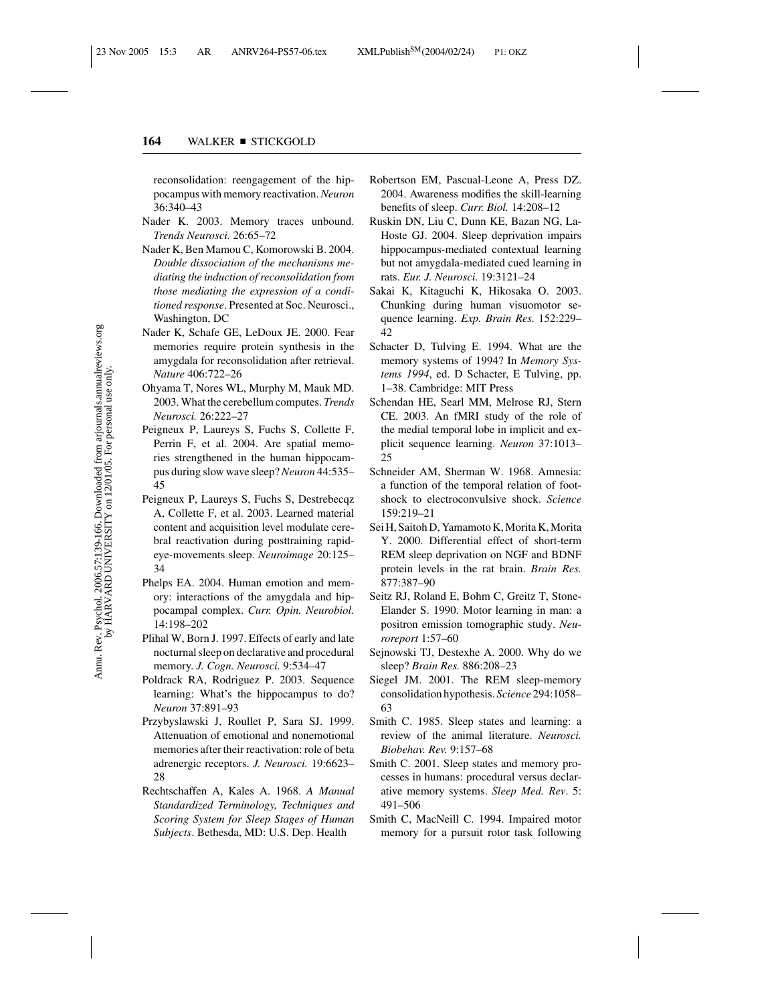reconsolidation: reengagement of the hippocampus with memory reactivation.*Neuron* 36:340–43

- Nader K. 2003. Memory traces unbound. *Trends Neurosci.* 26:65–72
- Nader K, Ben Mamou C, Komorowski B. 2004. *Double dissociation of the mechanisms mediating the induction of reconsolidation from those mediating the expression of a conditioned response*. Presented at Soc. Neurosci., Washington, DC
- Nader K, Schafe GE, LeDoux JE. 2000. Fear memories require protein synthesis in the amygdala for reconsolidation after retrieval. *Nature* 406:722–26
- Ohyama T, Nores WL, Murphy M, Mauk MD. 2003. What the cerebellum computes. *Trends Neurosci.* 26:222–27
- Peigneux P, Laureys S, Fuchs S, Collette F, Perrin F, et al. 2004. Are spatial memories strengthened in the human hippocampus during slow wave sleep? *Neuron* 44:535– 45
- Peigneux P, Laureys S, Fuchs S, Destrebecqz A, Collette F, et al. 2003. Learned material content and acquisition level modulate cerebral reactivation during posttraining rapideye-movements sleep. *Neuroimage* 20:125– 34
- Phelps EA. 2004. Human emotion and memory: interactions of the amygdala and hippocampal complex. *Curr. Opin. Neurobiol.* 14:198–202
- Plihal W, Born J. 1997. Effects of early and late nocturnal sleep on declarative and procedural memory. *J. Cogn. Neurosci.* 9:534–47
- Poldrack RA, Rodriguez P. 2003. Sequence learning: What's the hippocampus to do? *Neuron* 37:891–93
- Przybyslawski J, Roullet P, Sara SJ. 1999. Attenuation of emotional and nonemotional memories after their reactivation: role of beta adrenergic receptors. *J. Neurosci.* 19:6623– 28
- Rechtschaffen A, Kales A. 1968. *A Manual Standardized Terminology, Techniques and Scoring System for Sleep Stages of Human Subjects*. Bethesda, MD: U.S. Dep. Health
- Robertson EM, Pascual-Leone A, Press DZ. 2004. Awareness modifies the skill-learning benefits of sleep. *Curr. Biol.* 14:208–12
- Ruskin DN, Liu C, Dunn KE, Bazan NG, La-Hoste GJ. 2004. Sleep deprivation impairs hippocampus-mediated contextual learning but not amygdala-mediated cued learning in rats. *Eur. J. Neurosci.* 19:3121–24
- Sakai K, Kitaguchi K, Hikosaka O. 2003. Chunking during human visuomotor sequence learning. *Exp. Brain Res.* 152:229– 42
- Schacter D, Tulving E. 1994. What are the memory systems of 1994? In *Memory Systems 1994*, ed. D Schacter, E Tulving, pp. 1–38. Cambridge: MIT Press
- Schendan HE, Searl MM, Melrose RJ, Stern CE. 2003. An fMRI study of the role of the medial temporal lobe in implicit and explicit sequence learning. *Neuron* 37:1013– 25
- Schneider AM, Sherman W. 1968. Amnesia: a function of the temporal relation of footshock to electroconvulsive shock. *Science* 159:219–21
- Sei H, Saitoh D, Yamamoto K, Morita K, Morita Y. 2000. Differential effect of short-term REM sleep deprivation on NGF and BDNF protein levels in the rat brain. *Brain Res.* 877:387–90
- Seitz RJ, Roland E, Bohm C, Greitz T, Stone-Elander S. 1990. Motor learning in man: a positron emission tomographic study. *Neuroreport* 1:57–60
- Sejnowski TJ, Destexhe A. 2000. Why do we sleep? *Brain Res.* 886:208–23
- Siegel JM. 2001. The REM sleep-memory consolidation hypothesis. *Science* 294:1058– 63
- Smith C. 1985. Sleep states and learning: a review of the animal literature. *Neurosci. Biobehav. Rev.* 9:157–68
- Smith C. 2001. Sleep states and memory processes in humans: procedural versus declarative memory systems. *Sleep Med. Rev*. 5: 491–506
- Smith C, MacNeill C. 1994. Impaired motor memory for a pursuit rotor task following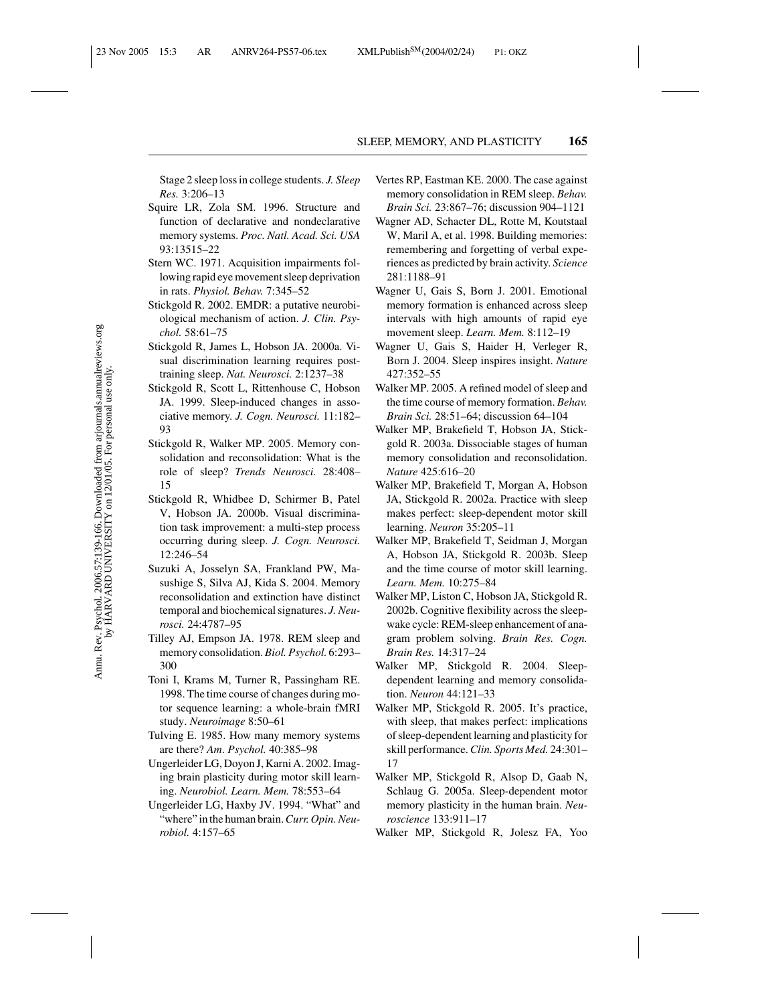Stage 2 sleep loss in college students. *J. Sleep Res.* 3:206–13

- Squire LR, Zola SM. 1996. Structure and function of declarative and nondeclarative memory systems. *Proc. Natl. Acad. Sci. USA* 93:13515–22
- Stern WC. 1971. Acquisition impairments following rapid eye movement sleep deprivation in rats. *Physiol. Behav.* 7:345–52
- Stickgold R. 2002. EMDR: a putative neurobiological mechanism of action. *J. Clin. Psychol.* 58:61–75
- Stickgold R, James L, Hobson JA. 2000a. Visual discrimination learning requires posttraining sleep. *Nat. Neurosci.* 2:1237–38
- Stickgold R, Scott L, Rittenhouse C, Hobson JA. 1999. Sleep-induced changes in associative memory. *J. Cogn. Neurosci.* 11:182– 93
- Stickgold R, Walker MP. 2005. Memory consolidation and reconsolidation: What is the role of sleep? *Trends Neurosci.* 28:408– 15
- Stickgold R, Whidbee D, Schirmer B, Patel V, Hobson JA. 2000b. Visual discrimination task improvement: a multi-step process occurring during sleep. *J. Cogn. Neurosci.* 12:246–54
- Suzuki A, Josselyn SA, Frankland PW, Masushige S, Silva AJ, Kida S. 2004. Memory reconsolidation and extinction have distinct temporal and biochemical signatures. *J. Neurosci.* 24:4787–95
- Tilley AJ, Empson JA. 1978. REM sleep and memory consolidation.*Biol. Psychol.* 6:293– 300
- Toni I, Krams M, Turner R, Passingham RE. 1998. The time course of changes during motor sequence learning: a whole-brain fMRI study. *Neuroimage* 8:50–61
- Tulving E. 1985. How many memory systems are there? *Am*. *Psychol.* 40:385–98
- Ungerleider LG, Doyon J, Karni A. 2002. Imaging brain plasticity during motor skill learning. *Neurobiol. Learn. Mem.* 78:553–64
- Ungerleider LG, Haxby JV. 1994. "What" and "where" in the human brain.*Curr. Opin. Neurobiol.* 4:157–65
- Vertes RP, Eastman KE. 2000. The case against memory consolidation in REM sleep. *Behav. Brain Sci.* 23:867–76; discussion 904–1121
- Wagner AD, Schacter DL, Rotte M, Koutstaal W, Maril A, et al. 1998. Building memories: remembering and forgetting of verbal experiences as predicted by brain activity. *Science* 281:1188–91
- Wagner U, Gais S, Born J. 2001. Emotional memory formation is enhanced across sleep intervals with high amounts of rapid eye movement sleep. *Learn. Mem.* 8:112–19
- Wagner U, Gais S, Haider H, Verleger R, Born J. 2004. Sleep inspires insight. *Nature* 427:352–55
- Walker MP. 2005. A refined model of sleep and the time course of memory formation. *Behav. Brain Sci.* 28:51–64; discussion 64–104
- Walker MP, Brakefield T, Hobson JA, Stickgold R. 2003a. Dissociable stages of human memory consolidation and reconsolidation. *Nature* 425:616–20
- Walker MP, Brakefield T, Morgan A, Hobson JA, Stickgold R. 2002a. Practice with sleep makes perfect: sleep-dependent motor skill learning. *Neuron* 35:205–11
- Walker MP, Brakefield T, Seidman J, Morgan A, Hobson JA, Stickgold R. 2003b. Sleep and the time course of motor skill learning. *Learn. Mem.* 10:275–84
- Walker MP, Liston C, Hobson JA, Stickgold R. 2002b. Cognitive flexibility across the sleepwake cycle: REM-sleep enhancement of anagram problem solving. *Brain Res. Cogn. Brain Res.* 14:317–24
- Walker MP, Stickgold R. 2004. Sleepdependent learning and memory consolidation. *Neuron* 44:121–33
- Walker MP, Stickgold R. 2005. It's practice, with sleep, that makes perfect: implications of sleep-dependent learning and plasticity for skill performance.*Clin. Sports Med.* 24:301– 17
- Walker MP, Stickgold R, Alsop D, Gaab N, Schlaug G. 2005a. Sleep-dependent motor memory plasticity in the human brain. *Neuroscience* 133:911–17
- Walker MP, Stickgold R, Jolesz FA, Yoo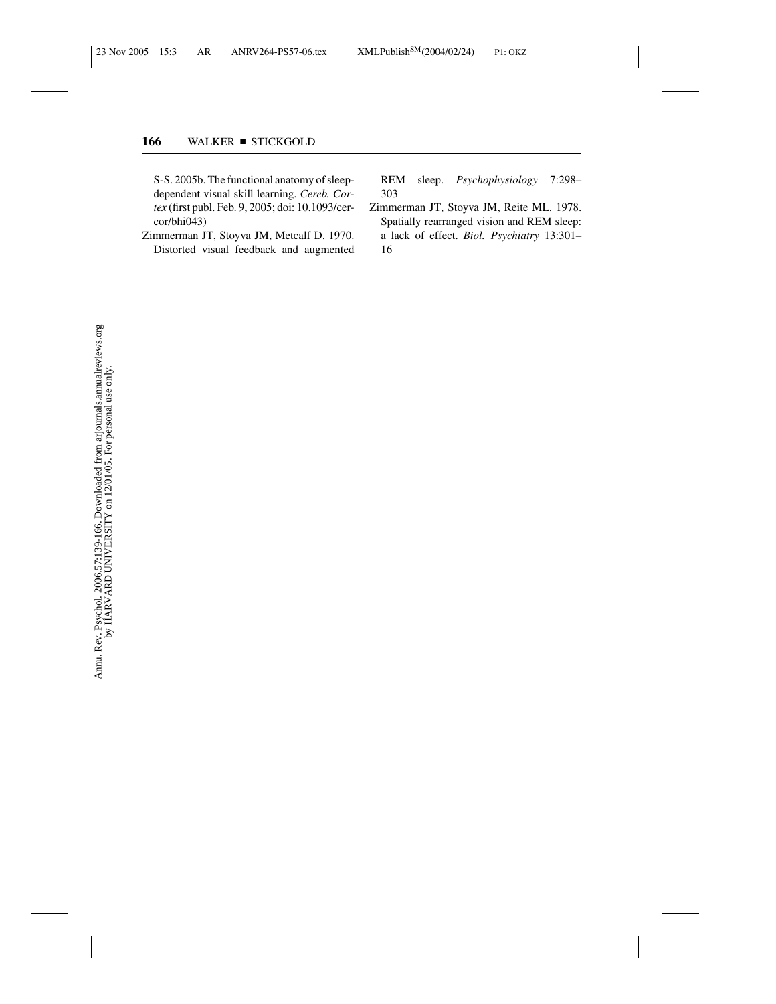S-S. 2005b. The functional anatomy of sleepdependent visual skill learning. *Cereb. Cortex* (first publ. Feb. 9, 2005; doi: 10.1093/cercor/bhi043)

Zimmerman JT, Stoyva JM, Metcalf D. 1970. Distorted visual feedback and augmented REM sleep. *Psychophysiology* 7:298– 303

Zimmerman JT, Stoyva JM, Reite ML. 1978. Spatially rearranged vision and REM sleep: a lack of effect. *Biol. Psychiatry* 13:301– 16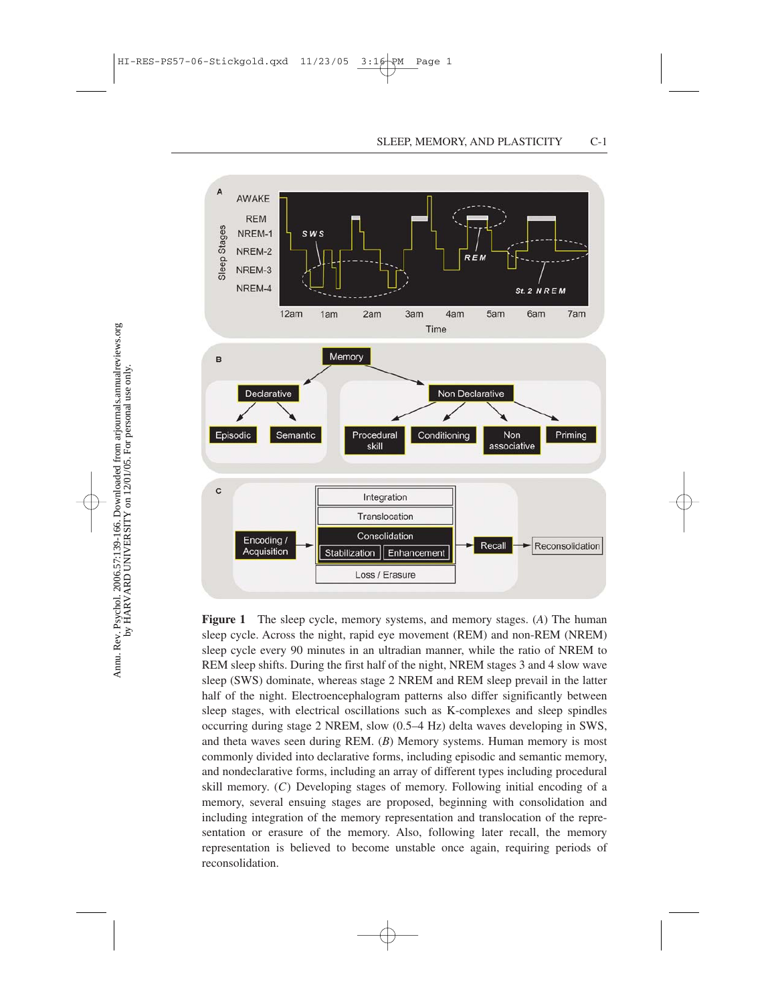

**Figure 1** The sleep cycle, memory systems, and memory stages. (*A*) The human sleep cycle. Across the night, rapid eye movement (REM) and non-REM (NREM) sleep cycle every 90 minutes in an ultradian manner, while the ratio of NREM to REM sleep shifts. During the first half of the night, NREM stages 3 and 4 slow wave sleep (SWS) dominate, whereas stage 2 NREM and REM sleep prevail in the latter half of the night. Electroencephalogram patterns also differ significantly between sleep stages, with electrical oscillations such as K-complexes and sleep spindles occurring during stage 2 NREM, slow (0.5–4 Hz) delta waves developing in SWS, and theta waves seen during REM. (*B*) Memory systems. Human memory is most commonly divided into declarative forms, including episodic and semantic memory, and nondeclarative forms, including an array of different types including procedural skill memory. (*C*) Developing stages of memory. Following initial encoding of a memory, several ensuing stages are proposed, beginning with consolidation and including integration of the memory representation and translocation of the representation or erasure of the memory. Also, following later recall, the memory representation is believed to become unstable once again, requiring periods of reconsolidation.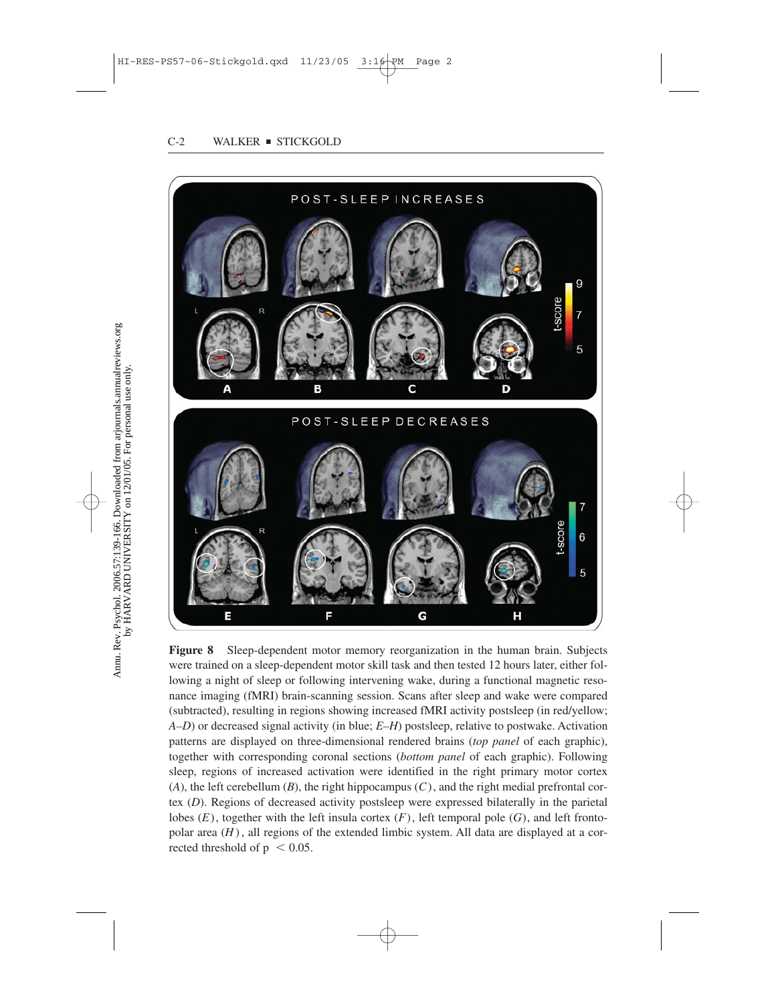

**Figure 8** Sleep-dependent motor memory reorganization in the human brain. Subjects were trained on a sleep-dependent motor skill task and then tested 12 hours later, either following a night of sleep or following intervening wake, during a functional magnetic resonance imaging (fMRI) brain-scanning session. Scans after sleep and wake were compared (subtracted), resulting in regions showing increased fMRI activity postsleep (in red/yellow; *A–D*) or decreased signal activity (in blue; *E–H*) postsleep, relative to postwake. Activation patterns are displayed on three-dimensional rendered brains (*top panel* of each graphic), together with corresponding coronal sections (*bottom panel* of each graphic). Following sleep, regions of increased activation were identified in the right primary motor cortex  $(A)$ , the left cerebellum  $(B)$ , the right hippocampus  $(C)$ , and the right medial prefrontal cortex (*D*). Regions of decreased activity postsleep were expressed bilaterally in the parietal lobes  $(E)$ , together with the left insula cortex  $(F)$ , left temporal pole  $(G)$ , and left frontopolar area  $(H)$ , all regions of the extended limbic system. All data are displayed at a corrected threshold of  $p < 0.05$ .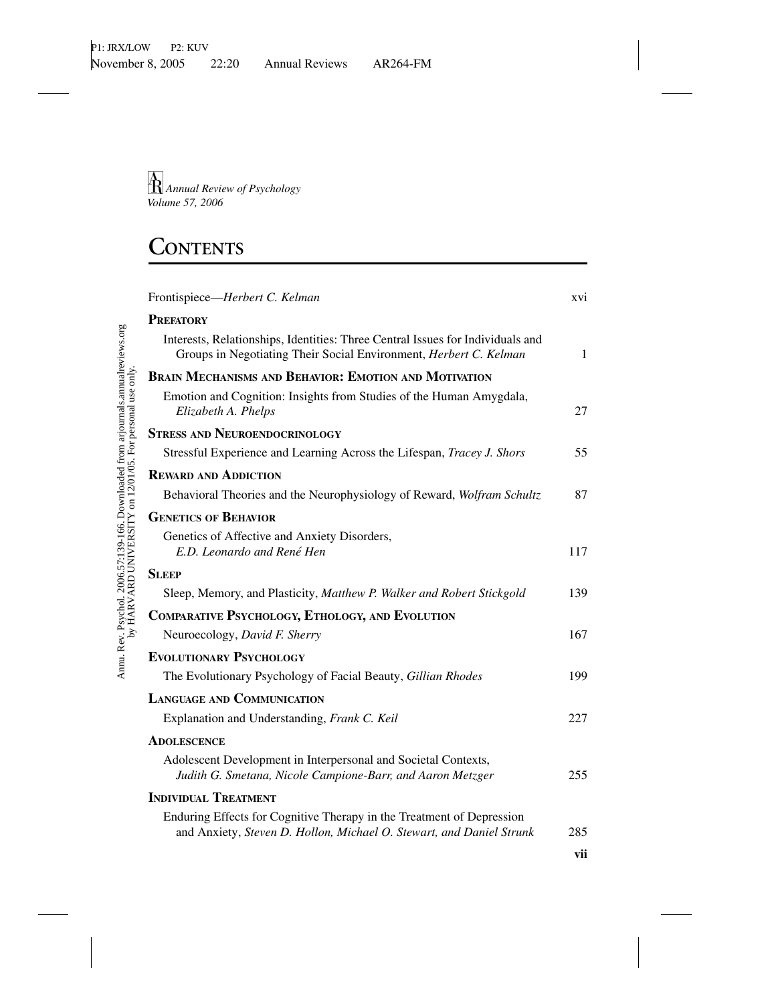# **CONTENTS**

| Frontispiece-Herbert C. Kelman                                                                                                                      | XV <sub>1</sub> |
|-----------------------------------------------------------------------------------------------------------------------------------------------------|-----------------|
| <b>PREFATORY</b>                                                                                                                                    |                 |
| Interests, Relationships, Identities: Three Central Issues for Individuals and<br>Groups in Negotiating Their Social Environment, Herbert C. Kelman | 1               |
| <b>BRAIN MECHANISMS AND BEHAVIOR: EMOTION AND MOTIVATION</b>                                                                                        |                 |
| Emotion and Cognition: Insights from Studies of the Human Amygdala,<br>Elizabeth A. Phelps                                                          | 27              |
| <b>STRESS AND NEUROENDOCRINOLOGY</b>                                                                                                                |                 |
| Stressful Experience and Learning Across the Lifespan, Tracey J. Shors                                                                              | 55              |
| <b>REWARD AND ADDICTION</b>                                                                                                                         |                 |
| Behavioral Theories and the Neurophysiology of Reward, Wolfram Schultz                                                                              | 87              |
| <b>GENETICS OF BEHAVIOR</b>                                                                                                                         |                 |
| Genetics of Affective and Anxiety Disorders,<br>E.D. Leonardo and René Hen                                                                          | 117             |
| <b>SLEEP</b>                                                                                                                                        |                 |
| Sleep, Memory, and Plasticity, Matthew P. Walker and Robert Stickgold                                                                               | 139             |
| COMPARATIVE PSYCHOLOGY, ETHOLOGY, AND EVOLUTION                                                                                                     |                 |
| Neuroecology, David F. Sherry                                                                                                                       | 167             |
| <b>EVOLUTIONARY PSYCHOLOGY</b>                                                                                                                      |                 |
| The Evolutionary Psychology of Facial Beauty, Gillian Rhodes                                                                                        | 199             |
| <b>LANGUAGE AND COMMUNICATION</b>                                                                                                                   |                 |
| Explanation and Understanding, Frank C. Keil                                                                                                        | 227             |
| <b>ADOLESCENCE</b>                                                                                                                                  |                 |
| Adolescent Development in Interpersonal and Societal Contexts,<br>Judith G. Smetana, Nicole Campione-Barr, and Aaron Metzger                        | 255             |
| <b>INDIVIDUAL TREATMENT</b>                                                                                                                         |                 |
| Enduring Effects for Cognitive Therapy in the Treatment of Depression<br>and Anxiety, Steven D. Hollon, Michael O. Stewart, and Daniel Strunk       | 285             |
|                                                                                                                                                     | vii             |